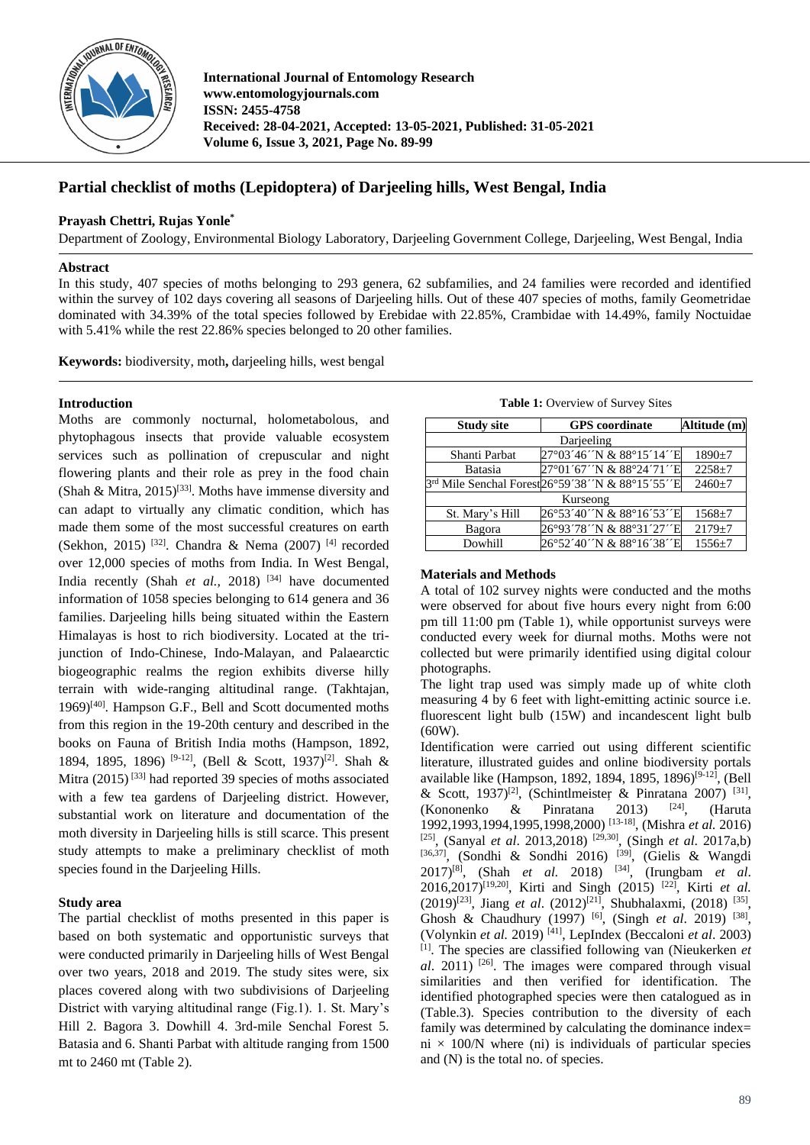

**International Journal of Entomology Research www.entomologyjournals.com ISSN: 2455-4758 Received: 28-04-2021, Accepted: 13-05-2021, Published: 31-05-2021 Volume 6, Issue 3, 2021, Page No. 89-99**

# **Partial checklist of moths (Lepidoptera) of Darjeeling hills, West Bengal, India**

# **Prayash Chettri, Rujas Yonle\***

Department of Zoology, Environmental Biology Laboratory, Darjeeling Government College, Darjeeling, West Bengal, India

#### **Abstract**

In this study, 407 species of moths belonging to 293 genera, 62 subfamilies, and 24 families were recorded and identified within the survey of 102 days covering all seasons of Darjeeling hills. Out of these 407 species of moths, family Geometridae dominated with 34.39% of the total species followed by Erebidae with 22.85%, Crambidae with 14.49%, family Noctuidae with 5.41% while the rest 22.86% species belonged to 20 other families.

**Keywords:** biodiversity, moth**,** darjeeling hills, west bengal

## **Introduction**

Moths are commonly nocturnal, holometabolous, and phytophagous insects that provide valuable ecosystem services such as pollination of crepuscular and night flowering plants and their role as prey in the food chain (Shah & Mitra,  $2015$ <sup>[33]</sup>. Moths have immense diversity and can adapt to virtually any climatic condition, which has made them some of the most successful creatures on earth (Sekhon, 2015) <sup>[32]</sup>. Chandra & Nema (2007) <sup>[4]</sup> recorded over 12,000 species of moths from India. In West Bengal, India recently (Shah *et al.,* 2018) [34] have documented information of 1058 species belonging to 614 genera and 36 families. Darjeeling hills being situated within the Eastern Himalayas is host to rich biodiversity. Located at the trijunction of Indo-Chinese, Indo-Malayan, and Palaearctic biogeographic realms the region exhibits diverse hilly terrain with wide-ranging altitudinal range. (Takhtajan, 1969)[40]. Hampson G.F., Bell and Scott documented moths from this region in the 19-20th century and described in the books on Fauna of British India moths (Hampson, 1892, 1894, 1895, 1896)<sup>[9-12]</sup>, (Bell & Scott, 1937)<sup>[2]</sup>. Shah & Mitra  $(2015)^{[33]}$  had reported 39 species of moths associated with a few tea gardens of Darjeeling district. However, substantial work on literature and documentation of the moth diversity in Darjeeling hills is still scarce. This present study attempts to make a preliminary checklist of moth species found in the Darjeeling Hills.

## **Study area**

The partial checklist of moths presented in this paper is based on both systematic and opportunistic surveys that were conducted primarily in Darjeeling hills of West Bengal over two years, 2018 and 2019. The study sites were, six places covered along with two subdivisions of Darjeeling District with varying altitudinal range (Fig.1). 1. St. Mary's Hill 2. Bagora 3. Dowhill 4. 3rd-mile Senchal Forest 5. Batasia and 6. Shanti Parbat with altitude ranging from 1500 mt to 2460 mt (Table 2).

| Table 1: Overview of Survey Sites |  |
|-----------------------------------|--|
|-----------------------------------|--|

| <b>Study site</b> | <b>GPS</b> coordinate                            | Altitude (m) |  |  |  |  |
|-------------------|--------------------------------------------------|--------------|--|--|--|--|
|                   | Darjeeling                                       |              |  |  |  |  |
| Shanti Parbat     | 27°03′46′N & 88°15′14′E                          | $1890+7$     |  |  |  |  |
| Batasia           | 27°01'67''N & 88°24'71''E                        | $2258 + 7$   |  |  |  |  |
|                   | 3rd Mile Senchal Forest26°59'38' N & 88°15'55' E | $2460 \pm 7$ |  |  |  |  |
|                   | Kurseong                                         |              |  |  |  |  |
| St. Mary's Hill   | 26°53′40′N & 88°16′53′E                          | $1568 + 7$   |  |  |  |  |
| Bagora            | 26°93′78′N & 88°31′27′E                          | $2179 + 7$   |  |  |  |  |
| Dowhill           | 26°52′40′N & 88°16′38′E                          | $1556 + 7$   |  |  |  |  |

#### **Materials and Methods**

A total of 102 survey nights were conducted and the moths were observed for about five hours every night from 6:00 pm till 11:00 pm (Table 1), while opportunist surveys were conducted every week for diurnal moths. Moths were not collected but were primarily identified using digital colour photographs.

The light trap used was simply made up of white cloth measuring 4 by 6 feet with light-emitting actinic source i.e. fluorescent light bulb (15W) and incandescent light bulb (60W).

Identification were carried out using different scientific literature, illustrated guides and online biodiversity portals available like (Hampson, 1892, 1894, 1895, 1896)<sup>[9-12]</sup>, (Bell & Scott, 1937)<sup>[2]</sup>, (Schintlmeister & Pinratana 2007)<sup>[31]</sup>, (Kononenko  $\&$  Pinratana 2013) <sup>[24]</sup>, (Haruta 1992,1993,1994,1995,1998,2000) [13-18] , (Mishra *et al.* 2016) [25], (Sanyal *et al*. 2013,2018) [29,30], (Singh *et al*. 2017a,b) [36,37], (Sondhi & Sondhi 2016) <sup>[39]</sup>, (Gielis & Wangdi 2017)[8], (Shah *et al.* 2018) [34], (Irungbam *et al*. 2016,2017)[19,20], Kirti and Singh (2015) [22], Kirti *et al.* (2019)<sup>[23]</sup>, Jiang *et al.* (2012)<sup>[21]</sup>, Shubhalaxmi, (2018)<sup>[35]</sup>, Ghosh & Chaudhury (1997)<sup>[6]</sup>, (Singh et al. 2019)<sup>[38]</sup>, (Volynkin *et al.* 2019) [41], LepIndex (Beccaloni *et al*. 2003) [1] . The species are classified following van (Nieukerken *et al*. 2011) [26]. The images were compared through visual similarities and then verified for identification. The identified photographed species were then catalogued as in (Table.3). Species contribution to the diversity of each family was determined by calculating the dominance index= ni  $\times$  100/N where (ni) is individuals of particular species and (N) is the total no. of species.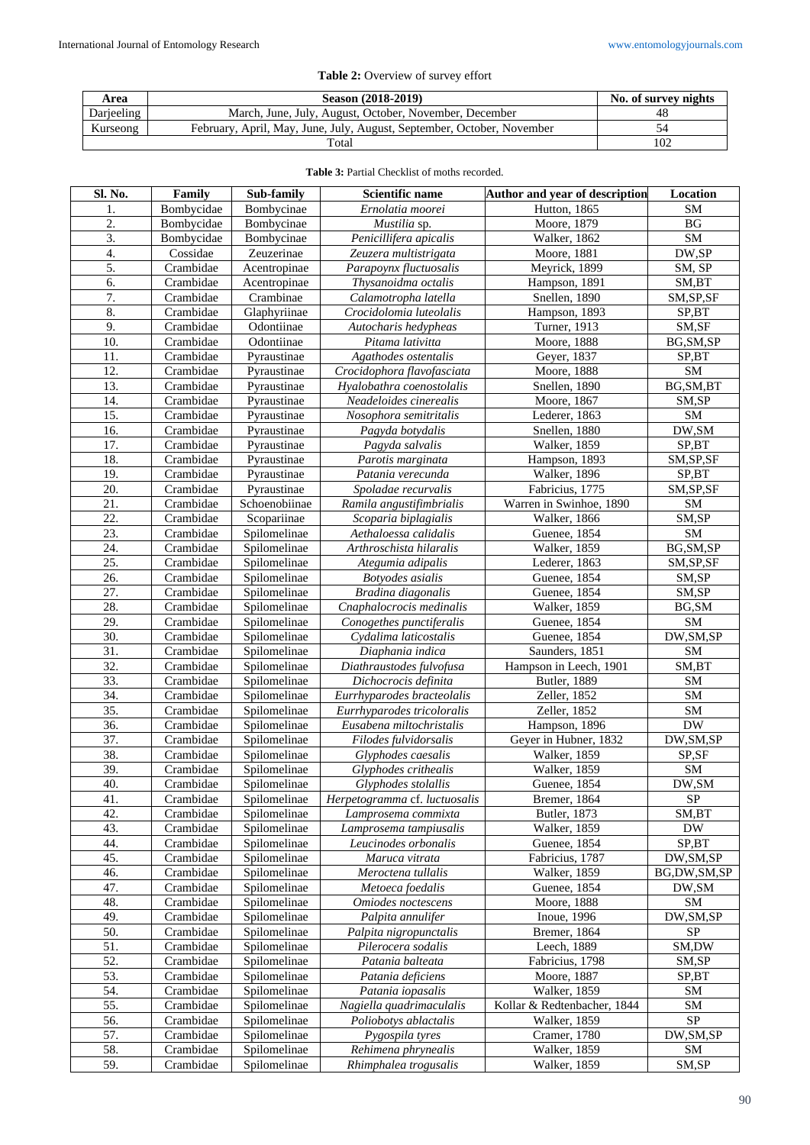| Area       | Season (2018-2019)                                                     | No. of survey nights |
|------------|------------------------------------------------------------------------|----------------------|
| Darieeling | March, June, July, August, October, November, December                 | 48                   |
| Kurseong   | February, April, May, June, July, August, September, October, November |                      |
|            | Total                                                                  | 102                  |

| Sl. No.           | Family     | Sub-family    | Scientific name                               | Author and year of description       | Location    |
|-------------------|------------|---------------|-----------------------------------------------|--------------------------------------|-------------|
| 1.                | Bombycidae | Bombycinae    | Ernolatia moorei                              | Hutton, 1865                         | SM          |
| 2.                | Bombycidae | Bombycinae    | Mustilia sp.                                  | Moore, 1879                          | BG          |
| 3.                | Bombycidae | Bombycinae    | Penicillifera apicalis                        | Walker, 1862                         | <b>SM</b>   |
| 4.                | Cossidae   | Zeuzerinae    | Zeuzera multistrigata                         | Moore, 1881                          | DW,SP       |
| 5.                | Crambidae  | Acentropinae  | Parapoynx fluctuosalis                        | Meyrick, 1899                        | SM, SP      |
| 6.                | Crambidae  | Acentropinae  | Thysanoidma octalis                           | Hampson, 1891                        | SM,BT       |
| 7.                | Crambidae  | Crambinae     | Calamotropha latella                          | Snellen, 1890                        | SM, SP, SF  |
| 8.                | Crambidae  | Glaphyriinae  | Crocidolomia luteolalis                       | Hampson, 1893                        | SP,BT       |
| 9.                | Crambidae  | Odontiinae    | Autocharis hedypheas                          | Turner, 1913                         | SM,SF       |
| 10.               | Crambidae  | Odontiinae    | Pitama lativitta                              | Moore, 1888                          | BG, SM, SP  |
| 11.               | Crambidae  | Pyraustinae   | Agathodes ostentalis                          | Geyer, 1837                          | SP,BT       |
| 12.               | Crambidae  | Pyraustinae   | Crocidophora flavofasciata                    | Moore, 1888                          | ${\bf SM}$  |
| 13.               | Crambidae  | Pyraustinae   | Hyalobathra coenostolalis                     | Snellen, 1890                        | BG, SM, BT  |
| 14.               | Crambidae  | Pyraustinae   | Neadeloides cinerealis                        | Moore, 1867                          | SM,SP       |
| 15.               | Crambidae  | Pyraustinae   | Nosophora semitritalis                        | Lederer, 1863                        | ${\rm SM}$  |
| 16.               | Crambidae  | Pyraustinae   | Pagyda botydalis                              | Snellen, 1880                        | DW, SM      |
| 17.               | Crambidae  | Pyraustinae   | Pagyda salvalis                               | Walker, 1859                         | SP,BT       |
| 18.               | Crambidae  | Pyraustinae   | Parotis marginata                             | Hampson, 1893                        | SM, SP, SF  |
| 19.               | Crambidae  | Pyraustinae   | Patania verecunda                             | Walker, 1896                         | SP,BT       |
| 20.               | Crambidae  | Pyraustinae   | Spoladae recurvalis                           | Fabricius, 1775                      | SM, SP, SF  |
| 21.               | Crambidae  | Schoenobiinae | Ramila angustifimbrialis                      | Warren in Swinhoe, 1890              | ${\rm SM}$  |
| 22.               | Crambidae  | Scopariinae   |                                               |                                      | SM,SP       |
| 23.               | Crambidae  | Spilomelinae  | Scoparia biplagialis<br>Aethaloessa calidalis | <b>Walker</b> , 1866<br>Guenee, 1854 | ${\bf SM}$  |
|                   |            |               |                                               |                                      |             |
| 24.<br>25.        | Crambidae  | Spilomelinae  | Arthroschista hilaralis                       | Walker, 1859                         | BG, SM, SP  |
| 26.               | Crambidae  | Spilomelinae  | Ategumia adipalis                             | Lederer, 1863                        | SM, SP, SF  |
|                   | Crambidae  | Spilomelinae  | Botyodes asialis                              | Guenee, 1854                         | SM,SP       |
| 27.               | Crambidae  | Spilomelinae  | Bradina diagonalis                            | Guenee, 1854                         | SM,SP       |
| 28.               | Crambidae  | Spilomelinae  | Cnaphalocrocis medinalis                      | Walker, 1859                         | BG, SM      |
| 29.               | Crambidae  | Spilomelinae  | Conogethes punctiferalis                      | Guenee, 1854                         | SM          |
| 30.               | Crambidae  | Spilomelinae  | Cydalima laticostalis                         | Guenee, 1854                         | DW, SM, SP  |
| $\overline{31}$ . | Crambidae  | Spilomelinae  | Diaphania indica                              | Saunders, 1851                       | SM          |
| 32.               | Crambidae  | Spilomelinae  | Diathraustodes fulvofusa                      | Hampson in Leech, 1901               | SM,BT       |
| 33.               | Crambidae  | Spilomelinae  | Dichocrocis definita                          | <b>Butler</b> , 1889                 | SM          |
| 34.               | Crambidae  | Spilomelinae  | Eurrhyparodes bracteolalis                    | Zeller, 1852                         | SM          |
| 35.               | Crambidae  | Spilomelinae  | Eurrhyparodes tricoloralis                    | Zeller, 1852                         | ${\rm SM}$  |
| 36.               | Crambidae  | Spilomelinae  | Eusabena miltochristalis                      | Hampson, 1896                        | <b>DW</b>   |
| 37.               | Crambidae  | Spilomelinae  | Filodes fulvidorsalis                         | Geyer in Hubner, 1832                | DW, SM, SP  |
| 38.               | Crambidae  | Spilomelinae  | Glyphodes caesalis                            | Walker, 1859                         | SP,SF       |
| 39.               | Crambidae  | Spilomelinae  | Glyphodes crithealis                          | Walker, 1859                         | SM          |
| 40.               | Crambidae  | Spilomelinae  | Glyphodes stolallis                           | Guenee, 1854                         | DW, SM      |
| 41.               | Crambidae  | Spilomelinae  | Herpetogramma cf. luctuosalis                 | Bremer, 1864                         | <b>SP</b>   |
| 42.               | Crambidae  | Spilomelinae  | Lamprosema commixta                           | Butler, 1873                         | SM,BT       |
| 43.               | Crambidae  | Spilomelinae  | Lamprosema tampiusalis                        | Walker, 1859                         | <b>DW</b>   |
| 44.               | Crambidae  | Spilomelinae  | Leucinodes orbonalis                          | Guenee, 1854                         | SP,BT       |
| 45.               | Crambidae  | Spilomelinae  | Maruca vitrata                                | Fabricius, 1787                      | DW,SM,SP    |
| 46.               | Crambidae  | Spilomelinae  | Meroctena tullalis                            | Walker, 1859                         | BG,DW,SM,SP |
| 47.               | Crambidae  | Spilomelinae  | Metoeca foedalis                              | Guenee, 1854                         | DW, SM      |
| 48.               | Crambidae  | Spilomelinae  | Omiodes noctescens                            | Moore, 1888                          | <b>SM</b>   |
| 49.               | Crambidae  | Spilomelinae  | Palpita annulifer                             | Inoue, 1996                          | DW, SM, SP  |
| 50.               | Crambidae  | Spilomelinae  | Palpita nigropunctalis                        | Bremer, 1864                         | <b>SP</b>   |
| 51.               | Crambidae  | Spilomelinae  | Pilerocera sodalis                            | Leech, 1889                          | SM,DW       |
| 52.               | Crambidae  | Spilomelinae  | Patania balteata                              | Fabricius, 1798                      | SM,SP       |
| 53.               | Crambidae  | Spilomelinae  | Patania deficiens                             | Moore, 1887                          | SP,BT       |
| 54.               | Crambidae  | Spilomelinae  | Patania iopasalis                             | Walker, 1859                         | SM          |
| 55.               | Crambidae  | Spilomelinae  | Nagiella quadrimaculalis                      | Kollar & Redtenbacher, 1844          | SM          |
| 56.               | Crambidae  | Spilomelinae  | Poliobotys ablactalis                         | Walker, 1859                         | <b>SP</b>   |
| 57.               | Crambidae  | Spilomelinae  | Pygospila tyres                               | Cramer, 1780                         | DW,SM,SP    |
| 58.               | Crambidae  | Spilomelinae  | Rehimena phrynealis                           | Walker, 1859                         | SM          |
| 59.               | Crambidae  | Spilomelinae  | Rhimphalea trogusalis                         | Walker, 1859                         | SM,SP       |

## **Table 3:** Partial Checklist of moths recorded.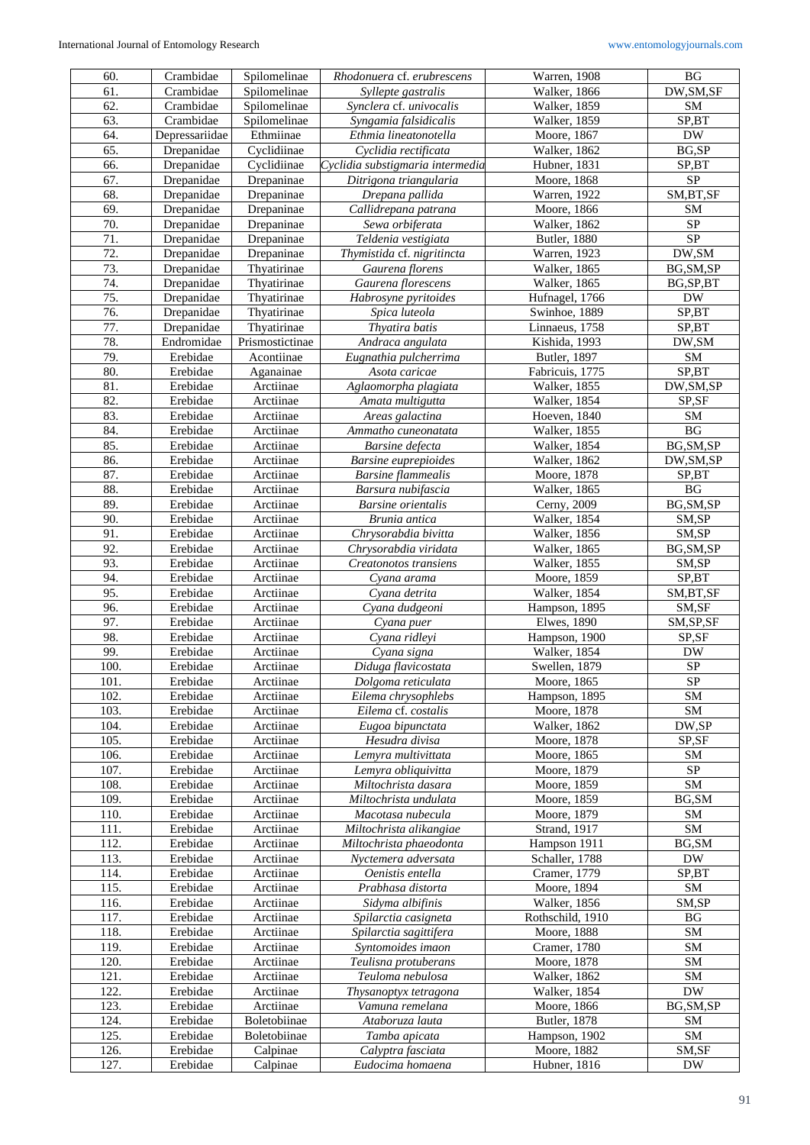| 61.<br>Crambidae<br>Walker, 1866<br>Spilomelinae<br>Syllepte gastralis<br>62.<br>Crambidae<br>Spilomelinae<br>Synclera cf. univocalis<br>Walker, 1859<br>Crambidae<br>Spilomelinae<br>63.<br>Syngamia falsidicalis<br><b>Walker</b> , 1859<br>64.<br>Ethmiinae<br>Depressariidae<br>Ethmia lineatonotella<br>Moore, 1867<br>Cyclidiinae<br>65.<br>Drepanidae<br>Cyclidia rectificata<br>Walker, 1862<br>66.<br>Cyclidiinae<br>Cyclidia substigmaria intermedia<br>Drepanidae<br>Hubner, 1831<br>67.<br>Drepanidae<br>Drepaninae<br>Ditrigona triangularia<br>Moore, 1868<br>68.<br>Drepanidae<br>Drepaninae<br>Drepana pallida<br>Warren, 1922<br>69.<br>Drepanidae<br>Drepaninae<br>Moore, 1866<br>Callidrepana patrana<br>70.<br>Drepanidae<br>Drepaninae<br>Sewa orbiferata<br>Walker, 1862<br>71.<br>Drepanidae<br>Teldenia vestigiata<br>Drepaninae<br><b>Butler</b> , 1880<br>72.<br>Warren, 1923<br>Drepanidae<br>Drepaninae<br>Thymistida cf. nigritincta<br>73.<br>Thyatirinae<br>Gaurena florens<br>Drepanidae<br><b>Walker</b> , 1865<br>74.<br>Thyatirinae<br>Drepanidae<br>Gaurena florescens<br>Walker, 1865<br>BG, SP, BT<br>$\overline{75}$ .<br>Drepanidae<br>Thyatirinae<br>Habrosyne pyritoides<br>Hufnagel, 1766<br>${\rm DW}$<br>76.<br>SP,BT<br>Drepanidae<br>Thyatirinae<br>Spica luteola<br>Swinhoe, 1889<br>77.<br>Thyatirinae<br>Thyatira batis<br>Drepanidae<br>Linnaeus, 1758<br>78.<br>Endromidae<br>Prismostictinae<br>Kishida, 1993<br>Andraca angulata<br>79.<br>Acontiinae<br>Erebidae<br>Eugnathia pulcherrima<br>Butler, 1897<br>80.<br>Erebidae<br>Fabricuis, 1775<br>Aganainae<br>Asota caricae<br>81.<br>Erebidae<br>Arctiinae<br>Walker, 1855<br>Aglaomorpha plagiata<br>82.<br>Erebidae<br>Walker, 1854<br>Arctiinae<br>Amata multigutta<br>83.<br>Erebidae<br>Hoeven, 1840<br>Arctiinae<br>Areas galactina<br>Erebidae<br>Arctiinae<br>Walker, 1855<br>84.<br>Ammatho cuneonatata<br>85.<br>Walker, 1854<br>Erebidae<br>Arctiinae<br>Barsine defecta<br>86.<br>Erebidae<br>Walker, 1862<br>Arctiinae<br><b>Barsine</b> euprepioides<br>87.<br>Erebidae<br>Arctiinae<br><b>Barsine</b> flammealis<br>Moore, 1878<br>88.<br>Erebidae<br>Walker, 1865<br>Arctiinae<br>Barsura nubifascia<br>89.<br>Erebidae<br>Arctiinae<br>Cerny, 2009<br><b>Barsine</b> orientalis<br>90.<br>Erebidae<br>Walker, 1854<br>Arctiinae<br>Brunia antica<br>91.<br>Erebidae<br>Arctiinae<br>Chrysorabdia bivitta<br>Walker, 1856<br>92.<br>Erebidae<br>Walker, 1865<br>Arctiinae<br>Chrysorabdia viridata<br>93.<br>Walker, 1855<br>Erebidae<br>Arctiinae<br>Creatonotos transiens<br>94.<br>Erebidae<br>Arctiinae<br>Moore, 1859<br>Cyana arama<br>95.<br>Erebidae<br>Arctiinae<br>Cvana detrita<br>Walker, 1854<br>96.<br>Erebidae<br>Cyana dudgeoni<br>Hampson, 1895<br>Arctiinae<br>97.<br>Erebidae<br>Arctiinae<br><b>Elwes</b> , 1890<br>Cyana puer<br>98.<br>Erebidae<br>Arctiinae<br>Cyana ridleyi<br>Hampson, 1900<br>99.<br>Erebidae<br>Arctiinae<br>Walker, 1854<br>Cyana signa<br>100.<br>Erebidae<br>Arctiinae<br>Swellen, 1879<br>Diduga flavicostata<br>101.<br>Erebidae<br>Moore, 1865<br>Arctiinae<br>Dolgoma reticulata<br>102.<br>Erebidae<br>Eilema chrysophlebs<br>Arctiinae<br>Hampson, 1895<br>103.<br>Erebidae<br>Eilema cf. costalis<br>Moore, 1878<br>Arctiinae<br>Walker, 1862<br>104.<br>Erebidae<br>Arctiinae<br>Eugoa bipunctata<br>105.<br>Erebidae<br>Arctiinae<br>Hesudra divisa<br>Moore, 1878<br>106.<br>Erebidae<br>Arctiinae<br>Lemyra multivittata<br>Moore, 1865<br>107.<br>Erebidae<br>Arctiinae<br>Moore, 1879<br>Lemyra obliquivitta<br>108.<br>Erebidae<br>Arctiinae<br>Moore, 1859<br>Miltochrista dasara<br>109.<br>Erebidae<br>Arctiinae<br>Miltochrista undulata<br>Moore, 1859<br>Erebidae<br>Arctiinae<br>Moore, 1879<br>110.<br>Macotasa nubecula<br>111.<br>Erebidae<br>Miltochrista alikangiae<br>Strand, 1917<br>Arctiinae<br>112.<br>Erebidae<br>Miltochrista phaeodonta<br>Arctiinae<br>Hampson 1911<br>113.<br>Erebidae<br>Arctiinae<br>Schaller, 1788<br>Nyctemera adversata<br>Oenistis entella<br>114.<br>Erebidae<br>Arctiinae<br>Cramer, 1779<br>115.<br>Erebidae<br>Arctiinae<br>Prabhasa distorta<br>Moore, 1894<br>116.<br>Erebidae<br>Arctiinae<br>Sidyma albifinis<br>Walker, 1856<br>117.<br>Erebidae<br>Rothschild, 1910<br>Arctiinae<br>Spilarctia casigneta<br>118.<br>Erebidae<br>Arctiinae<br>Spilarctia sagittifera<br>Moore, 1888<br>119.<br>Cramer, 1780<br>Erebidae<br>Arctiinae<br>Syntomoides imaon<br>Erebidae<br>120.<br>Arctiinae<br>Teulisna protuberans<br>Moore, 1878<br>121.<br>Erebidae<br>Teuloma nebulosa<br>Walker, 1862<br>Arctiinae<br>122.<br>Erebidae<br>Arctiinae<br>Walker, 1854<br>Thysanoptyx tetragona<br>123.<br>Erebidae<br>Arctiinae<br>Vamuna remelana<br>Moore, 1866<br>Butler, 1878<br>124.<br>Erebidae<br>Boletobiinae<br>Ataboruza lauta<br>Erebidae<br>Boletobiinae<br>125.<br>Tamba apicata<br>Hampson, 1902<br>126.<br>Erebidae<br>Moore, 1882<br>Calpinae<br>Calyptra fasciata | 60.  | Crambidae | Spilomelinae | Rhodonuera cf. erubrescens | Warren, 1908 | BG                     |
|-----------------------------------------------------------------------------------------------------------------------------------------------------------------------------------------------------------------------------------------------------------------------------------------------------------------------------------------------------------------------------------------------------------------------------------------------------------------------------------------------------------------------------------------------------------------------------------------------------------------------------------------------------------------------------------------------------------------------------------------------------------------------------------------------------------------------------------------------------------------------------------------------------------------------------------------------------------------------------------------------------------------------------------------------------------------------------------------------------------------------------------------------------------------------------------------------------------------------------------------------------------------------------------------------------------------------------------------------------------------------------------------------------------------------------------------------------------------------------------------------------------------------------------------------------------------------------------------------------------------------------------------------------------------------------------------------------------------------------------------------------------------------------------------------------------------------------------------------------------------------------------------------------------------------------------------------------------------------------------------------------------------------------------------------------------------------------------------------------------------------------------------------------------------------------------------------------------------------------------------------------------------------------------------------------------------------------------------------------------------------------------------------------------------------------------------------------------------------------------------------------------------------------------------------------------------------------------------------------------------------------------------------------------------------------------------------------------------------------------------------------------------------------------------------------------------------------------------------------------------------------------------------------------------------------------------------------------------------------------------------------------------------------------------------------------------------------------------------------------------------------------------------------------------------------------------------------------------------------------------------------------------------------------------------------------------------------------------------------------------------------------------------------------------------------------------------------------------------------------------------------------------------------------------------------------------------------------------------------------------------------------------------------------------------------------------------------------------------------------------------------------------------------------------------------------------------------------------------------------------------------------------------------------------------------------------------------------------------------------------------------------------------------------------------------------------------------------------------------------------------------------------------------------------------------------------------------------------------------------------------------------------------------------------------------------------------------------------------------------------------------------------------------------------------------------------------------------------------------------------------------------------------------------------------------------------------------------------------------------------------------------------------------------------------------------------------------------------------------------------------------------------------------------------------------------------------------------------------------------------------------------------------------------------------------------------------------------------------------------------------------------------|------|-----------|--------------|----------------------------|--------------|------------------------|
|                                                                                                                                                                                                                                                                                                                                                                                                                                                                                                                                                                                                                                                                                                                                                                                                                                                                                                                                                                                                                                                                                                                                                                                                                                                                                                                                                                                                                                                                                                                                                                                                                                                                                                                                                                                                                                                                                                                                                                                                                                                                                                                                                                                                                                                                                                                                                                                                                                                                                                                                                                                                                                                                                                                                                                                                                                                                                                                                                                                                                                                                                                                                                                                                                                                                                                                                                                                                                                                                                                                                                                                                                                                                                                                                                                                                                                                                                                                                                                                                                                                                                                                                                                                                                                                                                                                                                                                                                                                                                                                                                                                                                                                                                                                                                                                                                                                                                                                                                                                                                 |      |           |              |                            |              | DW, SM, SF             |
|                                                                                                                                                                                                                                                                                                                                                                                                                                                                                                                                                                                                                                                                                                                                                                                                                                                                                                                                                                                                                                                                                                                                                                                                                                                                                                                                                                                                                                                                                                                                                                                                                                                                                                                                                                                                                                                                                                                                                                                                                                                                                                                                                                                                                                                                                                                                                                                                                                                                                                                                                                                                                                                                                                                                                                                                                                                                                                                                                                                                                                                                                                                                                                                                                                                                                                                                                                                                                                                                                                                                                                                                                                                                                                                                                                                                                                                                                                                                                                                                                                                                                                                                                                                                                                                                                                                                                                                                                                                                                                                                                                                                                                                                                                                                                                                                                                                                                                                                                                                                                 |      |           |              |                            |              | SM                     |
|                                                                                                                                                                                                                                                                                                                                                                                                                                                                                                                                                                                                                                                                                                                                                                                                                                                                                                                                                                                                                                                                                                                                                                                                                                                                                                                                                                                                                                                                                                                                                                                                                                                                                                                                                                                                                                                                                                                                                                                                                                                                                                                                                                                                                                                                                                                                                                                                                                                                                                                                                                                                                                                                                                                                                                                                                                                                                                                                                                                                                                                                                                                                                                                                                                                                                                                                                                                                                                                                                                                                                                                                                                                                                                                                                                                                                                                                                                                                                                                                                                                                                                                                                                                                                                                                                                                                                                                                                                                                                                                                                                                                                                                                                                                                                                                                                                                                                                                                                                                                                 |      |           |              |                            |              | SP,BT                  |
|                                                                                                                                                                                                                                                                                                                                                                                                                                                                                                                                                                                                                                                                                                                                                                                                                                                                                                                                                                                                                                                                                                                                                                                                                                                                                                                                                                                                                                                                                                                                                                                                                                                                                                                                                                                                                                                                                                                                                                                                                                                                                                                                                                                                                                                                                                                                                                                                                                                                                                                                                                                                                                                                                                                                                                                                                                                                                                                                                                                                                                                                                                                                                                                                                                                                                                                                                                                                                                                                                                                                                                                                                                                                                                                                                                                                                                                                                                                                                                                                                                                                                                                                                                                                                                                                                                                                                                                                                                                                                                                                                                                                                                                                                                                                                                                                                                                                                                                                                                                                                 |      |           |              |                            |              | <b>DW</b>              |
|                                                                                                                                                                                                                                                                                                                                                                                                                                                                                                                                                                                                                                                                                                                                                                                                                                                                                                                                                                                                                                                                                                                                                                                                                                                                                                                                                                                                                                                                                                                                                                                                                                                                                                                                                                                                                                                                                                                                                                                                                                                                                                                                                                                                                                                                                                                                                                                                                                                                                                                                                                                                                                                                                                                                                                                                                                                                                                                                                                                                                                                                                                                                                                                                                                                                                                                                                                                                                                                                                                                                                                                                                                                                                                                                                                                                                                                                                                                                                                                                                                                                                                                                                                                                                                                                                                                                                                                                                                                                                                                                                                                                                                                                                                                                                                                                                                                                                                                                                                                                                 |      |           |              |                            |              | BG,SP                  |
|                                                                                                                                                                                                                                                                                                                                                                                                                                                                                                                                                                                                                                                                                                                                                                                                                                                                                                                                                                                                                                                                                                                                                                                                                                                                                                                                                                                                                                                                                                                                                                                                                                                                                                                                                                                                                                                                                                                                                                                                                                                                                                                                                                                                                                                                                                                                                                                                                                                                                                                                                                                                                                                                                                                                                                                                                                                                                                                                                                                                                                                                                                                                                                                                                                                                                                                                                                                                                                                                                                                                                                                                                                                                                                                                                                                                                                                                                                                                                                                                                                                                                                                                                                                                                                                                                                                                                                                                                                                                                                                                                                                                                                                                                                                                                                                                                                                                                                                                                                                                                 |      |           |              |                            |              | SP,BT                  |
|                                                                                                                                                                                                                                                                                                                                                                                                                                                                                                                                                                                                                                                                                                                                                                                                                                                                                                                                                                                                                                                                                                                                                                                                                                                                                                                                                                                                                                                                                                                                                                                                                                                                                                                                                                                                                                                                                                                                                                                                                                                                                                                                                                                                                                                                                                                                                                                                                                                                                                                                                                                                                                                                                                                                                                                                                                                                                                                                                                                                                                                                                                                                                                                                                                                                                                                                                                                                                                                                                                                                                                                                                                                                                                                                                                                                                                                                                                                                                                                                                                                                                                                                                                                                                                                                                                                                                                                                                                                                                                                                                                                                                                                                                                                                                                                                                                                                                                                                                                                                                 |      |           |              |                            |              | ${\rm SP}$             |
|                                                                                                                                                                                                                                                                                                                                                                                                                                                                                                                                                                                                                                                                                                                                                                                                                                                                                                                                                                                                                                                                                                                                                                                                                                                                                                                                                                                                                                                                                                                                                                                                                                                                                                                                                                                                                                                                                                                                                                                                                                                                                                                                                                                                                                                                                                                                                                                                                                                                                                                                                                                                                                                                                                                                                                                                                                                                                                                                                                                                                                                                                                                                                                                                                                                                                                                                                                                                                                                                                                                                                                                                                                                                                                                                                                                                                                                                                                                                                                                                                                                                                                                                                                                                                                                                                                                                                                                                                                                                                                                                                                                                                                                                                                                                                                                                                                                                                                                                                                                                                 |      |           |              |                            |              | SM, BT, SF             |
|                                                                                                                                                                                                                                                                                                                                                                                                                                                                                                                                                                                                                                                                                                                                                                                                                                                                                                                                                                                                                                                                                                                                                                                                                                                                                                                                                                                                                                                                                                                                                                                                                                                                                                                                                                                                                                                                                                                                                                                                                                                                                                                                                                                                                                                                                                                                                                                                                                                                                                                                                                                                                                                                                                                                                                                                                                                                                                                                                                                                                                                                                                                                                                                                                                                                                                                                                                                                                                                                                                                                                                                                                                                                                                                                                                                                                                                                                                                                                                                                                                                                                                                                                                                                                                                                                                                                                                                                                                                                                                                                                                                                                                                                                                                                                                                                                                                                                                                                                                                                                 |      |           |              |                            |              | SM                     |
|                                                                                                                                                                                                                                                                                                                                                                                                                                                                                                                                                                                                                                                                                                                                                                                                                                                                                                                                                                                                                                                                                                                                                                                                                                                                                                                                                                                                                                                                                                                                                                                                                                                                                                                                                                                                                                                                                                                                                                                                                                                                                                                                                                                                                                                                                                                                                                                                                                                                                                                                                                                                                                                                                                                                                                                                                                                                                                                                                                                                                                                                                                                                                                                                                                                                                                                                                                                                                                                                                                                                                                                                                                                                                                                                                                                                                                                                                                                                                                                                                                                                                                                                                                                                                                                                                                                                                                                                                                                                                                                                                                                                                                                                                                                                                                                                                                                                                                                                                                                                                 |      |           |              |                            |              | ${\rm SP}$             |
|                                                                                                                                                                                                                                                                                                                                                                                                                                                                                                                                                                                                                                                                                                                                                                                                                                                                                                                                                                                                                                                                                                                                                                                                                                                                                                                                                                                                                                                                                                                                                                                                                                                                                                                                                                                                                                                                                                                                                                                                                                                                                                                                                                                                                                                                                                                                                                                                                                                                                                                                                                                                                                                                                                                                                                                                                                                                                                                                                                                                                                                                                                                                                                                                                                                                                                                                                                                                                                                                                                                                                                                                                                                                                                                                                                                                                                                                                                                                                                                                                                                                                                                                                                                                                                                                                                                                                                                                                                                                                                                                                                                                                                                                                                                                                                                                                                                                                                                                                                                                                 |      |           |              |                            |              | $\overline{\text{SP}}$ |
|                                                                                                                                                                                                                                                                                                                                                                                                                                                                                                                                                                                                                                                                                                                                                                                                                                                                                                                                                                                                                                                                                                                                                                                                                                                                                                                                                                                                                                                                                                                                                                                                                                                                                                                                                                                                                                                                                                                                                                                                                                                                                                                                                                                                                                                                                                                                                                                                                                                                                                                                                                                                                                                                                                                                                                                                                                                                                                                                                                                                                                                                                                                                                                                                                                                                                                                                                                                                                                                                                                                                                                                                                                                                                                                                                                                                                                                                                                                                                                                                                                                                                                                                                                                                                                                                                                                                                                                                                                                                                                                                                                                                                                                                                                                                                                                                                                                                                                                                                                                                                 |      |           |              |                            |              | DW,SM                  |
|                                                                                                                                                                                                                                                                                                                                                                                                                                                                                                                                                                                                                                                                                                                                                                                                                                                                                                                                                                                                                                                                                                                                                                                                                                                                                                                                                                                                                                                                                                                                                                                                                                                                                                                                                                                                                                                                                                                                                                                                                                                                                                                                                                                                                                                                                                                                                                                                                                                                                                                                                                                                                                                                                                                                                                                                                                                                                                                                                                                                                                                                                                                                                                                                                                                                                                                                                                                                                                                                                                                                                                                                                                                                                                                                                                                                                                                                                                                                                                                                                                                                                                                                                                                                                                                                                                                                                                                                                                                                                                                                                                                                                                                                                                                                                                                                                                                                                                                                                                                                                 |      |           |              |                            |              | BG, SM, SP             |
|                                                                                                                                                                                                                                                                                                                                                                                                                                                                                                                                                                                                                                                                                                                                                                                                                                                                                                                                                                                                                                                                                                                                                                                                                                                                                                                                                                                                                                                                                                                                                                                                                                                                                                                                                                                                                                                                                                                                                                                                                                                                                                                                                                                                                                                                                                                                                                                                                                                                                                                                                                                                                                                                                                                                                                                                                                                                                                                                                                                                                                                                                                                                                                                                                                                                                                                                                                                                                                                                                                                                                                                                                                                                                                                                                                                                                                                                                                                                                                                                                                                                                                                                                                                                                                                                                                                                                                                                                                                                                                                                                                                                                                                                                                                                                                                                                                                                                                                                                                                                                 |      |           |              |                            |              |                        |
|                                                                                                                                                                                                                                                                                                                                                                                                                                                                                                                                                                                                                                                                                                                                                                                                                                                                                                                                                                                                                                                                                                                                                                                                                                                                                                                                                                                                                                                                                                                                                                                                                                                                                                                                                                                                                                                                                                                                                                                                                                                                                                                                                                                                                                                                                                                                                                                                                                                                                                                                                                                                                                                                                                                                                                                                                                                                                                                                                                                                                                                                                                                                                                                                                                                                                                                                                                                                                                                                                                                                                                                                                                                                                                                                                                                                                                                                                                                                                                                                                                                                                                                                                                                                                                                                                                                                                                                                                                                                                                                                                                                                                                                                                                                                                                                                                                                                                                                                                                                                                 |      |           |              |                            |              |                        |
|                                                                                                                                                                                                                                                                                                                                                                                                                                                                                                                                                                                                                                                                                                                                                                                                                                                                                                                                                                                                                                                                                                                                                                                                                                                                                                                                                                                                                                                                                                                                                                                                                                                                                                                                                                                                                                                                                                                                                                                                                                                                                                                                                                                                                                                                                                                                                                                                                                                                                                                                                                                                                                                                                                                                                                                                                                                                                                                                                                                                                                                                                                                                                                                                                                                                                                                                                                                                                                                                                                                                                                                                                                                                                                                                                                                                                                                                                                                                                                                                                                                                                                                                                                                                                                                                                                                                                                                                                                                                                                                                                                                                                                                                                                                                                                                                                                                                                                                                                                                                                 |      |           |              |                            |              |                        |
|                                                                                                                                                                                                                                                                                                                                                                                                                                                                                                                                                                                                                                                                                                                                                                                                                                                                                                                                                                                                                                                                                                                                                                                                                                                                                                                                                                                                                                                                                                                                                                                                                                                                                                                                                                                                                                                                                                                                                                                                                                                                                                                                                                                                                                                                                                                                                                                                                                                                                                                                                                                                                                                                                                                                                                                                                                                                                                                                                                                                                                                                                                                                                                                                                                                                                                                                                                                                                                                                                                                                                                                                                                                                                                                                                                                                                                                                                                                                                                                                                                                                                                                                                                                                                                                                                                                                                                                                                                                                                                                                                                                                                                                                                                                                                                                                                                                                                                                                                                                                                 |      |           |              |                            |              |                        |
|                                                                                                                                                                                                                                                                                                                                                                                                                                                                                                                                                                                                                                                                                                                                                                                                                                                                                                                                                                                                                                                                                                                                                                                                                                                                                                                                                                                                                                                                                                                                                                                                                                                                                                                                                                                                                                                                                                                                                                                                                                                                                                                                                                                                                                                                                                                                                                                                                                                                                                                                                                                                                                                                                                                                                                                                                                                                                                                                                                                                                                                                                                                                                                                                                                                                                                                                                                                                                                                                                                                                                                                                                                                                                                                                                                                                                                                                                                                                                                                                                                                                                                                                                                                                                                                                                                                                                                                                                                                                                                                                                                                                                                                                                                                                                                                                                                                                                                                                                                                                                 |      |           |              |                            |              | SP,BT                  |
|                                                                                                                                                                                                                                                                                                                                                                                                                                                                                                                                                                                                                                                                                                                                                                                                                                                                                                                                                                                                                                                                                                                                                                                                                                                                                                                                                                                                                                                                                                                                                                                                                                                                                                                                                                                                                                                                                                                                                                                                                                                                                                                                                                                                                                                                                                                                                                                                                                                                                                                                                                                                                                                                                                                                                                                                                                                                                                                                                                                                                                                                                                                                                                                                                                                                                                                                                                                                                                                                                                                                                                                                                                                                                                                                                                                                                                                                                                                                                                                                                                                                                                                                                                                                                                                                                                                                                                                                                                                                                                                                                                                                                                                                                                                                                                                                                                                                                                                                                                                                                 |      |           |              |                            |              | DW, SM                 |
|                                                                                                                                                                                                                                                                                                                                                                                                                                                                                                                                                                                                                                                                                                                                                                                                                                                                                                                                                                                                                                                                                                                                                                                                                                                                                                                                                                                                                                                                                                                                                                                                                                                                                                                                                                                                                                                                                                                                                                                                                                                                                                                                                                                                                                                                                                                                                                                                                                                                                                                                                                                                                                                                                                                                                                                                                                                                                                                                                                                                                                                                                                                                                                                                                                                                                                                                                                                                                                                                                                                                                                                                                                                                                                                                                                                                                                                                                                                                                                                                                                                                                                                                                                                                                                                                                                                                                                                                                                                                                                                                                                                                                                                                                                                                                                                                                                                                                                                                                                                                                 |      |           |              |                            |              | ${\bf SM}$             |
|                                                                                                                                                                                                                                                                                                                                                                                                                                                                                                                                                                                                                                                                                                                                                                                                                                                                                                                                                                                                                                                                                                                                                                                                                                                                                                                                                                                                                                                                                                                                                                                                                                                                                                                                                                                                                                                                                                                                                                                                                                                                                                                                                                                                                                                                                                                                                                                                                                                                                                                                                                                                                                                                                                                                                                                                                                                                                                                                                                                                                                                                                                                                                                                                                                                                                                                                                                                                                                                                                                                                                                                                                                                                                                                                                                                                                                                                                                                                                                                                                                                                                                                                                                                                                                                                                                                                                                                                                                                                                                                                                                                                                                                                                                                                                                                                                                                                                                                                                                                                                 |      |           |              |                            |              | SP,BT                  |
|                                                                                                                                                                                                                                                                                                                                                                                                                                                                                                                                                                                                                                                                                                                                                                                                                                                                                                                                                                                                                                                                                                                                                                                                                                                                                                                                                                                                                                                                                                                                                                                                                                                                                                                                                                                                                                                                                                                                                                                                                                                                                                                                                                                                                                                                                                                                                                                                                                                                                                                                                                                                                                                                                                                                                                                                                                                                                                                                                                                                                                                                                                                                                                                                                                                                                                                                                                                                                                                                                                                                                                                                                                                                                                                                                                                                                                                                                                                                                                                                                                                                                                                                                                                                                                                                                                                                                                                                                                                                                                                                                                                                                                                                                                                                                                                                                                                                                                                                                                                                                 |      |           |              |                            |              | DW, SM, SP             |
|                                                                                                                                                                                                                                                                                                                                                                                                                                                                                                                                                                                                                                                                                                                                                                                                                                                                                                                                                                                                                                                                                                                                                                                                                                                                                                                                                                                                                                                                                                                                                                                                                                                                                                                                                                                                                                                                                                                                                                                                                                                                                                                                                                                                                                                                                                                                                                                                                                                                                                                                                                                                                                                                                                                                                                                                                                                                                                                                                                                                                                                                                                                                                                                                                                                                                                                                                                                                                                                                                                                                                                                                                                                                                                                                                                                                                                                                                                                                                                                                                                                                                                                                                                                                                                                                                                                                                                                                                                                                                                                                                                                                                                                                                                                                                                                                                                                                                                                                                                                                                 |      |           |              |                            |              | SP,SF                  |
|                                                                                                                                                                                                                                                                                                                                                                                                                                                                                                                                                                                                                                                                                                                                                                                                                                                                                                                                                                                                                                                                                                                                                                                                                                                                                                                                                                                                                                                                                                                                                                                                                                                                                                                                                                                                                                                                                                                                                                                                                                                                                                                                                                                                                                                                                                                                                                                                                                                                                                                                                                                                                                                                                                                                                                                                                                                                                                                                                                                                                                                                                                                                                                                                                                                                                                                                                                                                                                                                                                                                                                                                                                                                                                                                                                                                                                                                                                                                                                                                                                                                                                                                                                                                                                                                                                                                                                                                                                                                                                                                                                                                                                                                                                                                                                                                                                                                                                                                                                                                                 |      |           |              |                            |              | ${\rm SM}$             |
|                                                                                                                                                                                                                                                                                                                                                                                                                                                                                                                                                                                                                                                                                                                                                                                                                                                                                                                                                                                                                                                                                                                                                                                                                                                                                                                                                                                                                                                                                                                                                                                                                                                                                                                                                                                                                                                                                                                                                                                                                                                                                                                                                                                                                                                                                                                                                                                                                                                                                                                                                                                                                                                                                                                                                                                                                                                                                                                                                                                                                                                                                                                                                                                                                                                                                                                                                                                                                                                                                                                                                                                                                                                                                                                                                                                                                                                                                                                                                                                                                                                                                                                                                                                                                                                                                                                                                                                                                                                                                                                                                                                                                                                                                                                                                                                                                                                                                                                                                                                                                 |      |           |              |                            |              | $\mathbf{B}\mathbf{G}$ |
|                                                                                                                                                                                                                                                                                                                                                                                                                                                                                                                                                                                                                                                                                                                                                                                                                                                                                                                                                                                                                                                                                                                                                                                                                                                                                                                                                                                                                                                                                                                                                                                                                                                                                                                                                                                                                                                                                                                                                                                                                                                                                                                                                                                                                                                                                                                                                                                                                                                                                                                                                                                                                                                                                                                                                                                                                                                                                                                                                                                                                                                                                                                                                                                                                                                                                                                                                                                                                                                                                                                                                                                                                                                                                                                                                                                                                                                                                                                                                                                                                                                                                                                                                                                                                                                                                                                                                                                                                                                                                                                                                                                                                                                                                                                                                                                                                                                                                                                                                                                                                 |      |           |              |                            |              | BG, SM, SP             |
|                                                                                                                                                                                                                                                                                                                                                                                                                                                                                                                                                                                                                                                                                                                                                                                                                                                                                                                                                                                                                                                                                                                                                                                                                                                                                                                                                                                                                                                                                                                                                                                                                                                                                                                                                                                                                                                                                                                                                                                                                                                                                                                                                                                                                                                                                                                                                                                                                                                                                                                                                                                                                                                                                                                                                                                                                                                                                                                                                                                                                                                                                                                                                                                                                                                                                                                                                                                                                                                                                                                                                                                                                                                                                                                                                                                                                                                                                                                                                                                                                                                                                                                                                                                                                                                                                                                                                                                                                                                                                                                                                                                                                                                                                                                                                                                                                                                                                                                                                                                                                 |      |           |              |                            |              | DW, SM, SP             |
|                                                                                                                                                                                                                                                                                                                                                                                                                                                                                                                                                                                                                                                                                                                                                                                                                                                                                                                                                                                                                                                                                                                                                                                                                                                                                                                                                                                                                                                                                                                                                                                                                                                                                                                                                                                                                                                                                                                                                                                                                                                                                                                                                                                                                                                                                                                                                                                                                                                                                                                                                                                                                                                                                                                                                                                                                                                                                                                                                                                                                                                                                                                                                                                                                                                                                                                                                                                                                                                                                                                                                                                                                                                                                                                                                                                                                                                                                                                                                                                                                                                                                                                                                                                                                                                                                                                                                                                                                                                                                                                                                                                                                                                                                                                                                                                                                                                                                                                                                                                                                 |      |           |              |                            |              | SP,BT                  |
|                                                                                                                                                                                                                                                                                                                                                                                                                                                                                                                                                                                                                                                                                                                                                                                                                                                                                                                                                                                                                                                                                                                                                                                                                                                                                                                                                                                                                                                                                                                                                                                                                                                                                                                                                                                                                                                                                                                                                                                                                                                                                                                                                                                                                                                                                                                                                                                                                                                                                                                                                                                                                                                                                                                                                                                                                                                                                                                                                                                                                                                                                                                                                                                                                                                                                                                                                                                                                                                                                                                                                                                                                                                                                                                                                                                                                                                                                                                                                                                                                                                                                                                                                                                                                                                                                                                                                                                                                                                                                                                                                                                                                                                                                                                                                                                                                                                                                                                                                                                                                 |      |           |              |                            |              | BG                     |
|                                                                                                                                                                                                                                                                                                                                                                                                                                                                                                                                                                                                                                                                                                                                                                                                                                                                                                                                                                                                                                                                                                                                                                                                                                                                                                                                                                                                                                                                                                                                                                                                                                                                                                                                                                                                                                                                                                                                                                                                                                                                                                                                                                                                                                                                                                                                                                                                                                                                                                                                                                                                                                                                                                                                                                                                                                                                                                                                                                                                                                                                                                                                                                                                                                                                                                                                                                                                                                                                                                                                                                                                                                                                                                                                                                                                                                                                                                                                                                                                                                                                                                                                                                                                                                                                                                                                                                                                                                                                                                                                                                                                                                                                                                                                                                                                                                                                                                                                                                                                                 |      |           |              |                            |              | BG, SM, SP             |
|                                                                                                                                                                                                                                                                                                                                                                                                                                                                                                                                                                                                                                                                                                                                                                                                                                                                                                                                                                                                                                                                                                                                                                                                                                                                                                                                                                                                                                                                                                                                                                                                                                                                                                                                                                                                                                                                                                                                                                                                                                                                                                                                                                                                                                                                                                                                                                                                                                                                                                                                                                                                                                                                                                                                                                                                                                                                                                                                                                                                                                                                                                                                                                                                                                                                                                                                                                                                                                                                                                                                                                                                                                                                                                                                                                                                                                                                                                                                                                                                                                                                                                                                                                                                                                                                                                                                                                                                                                                                                                                                                                                                                                                                                                                                                                                                                                                                                                                                                                                                                 |      |           |              |                            |              | SM,SP                  |
|                                                                                                                                                                                                                                                                                                                                                                                                                                                                                                                                                                                                                                                                                                                                                                                                                                                                                                                                                                                                                                                                                                                                                                                                                                                                                                                                                                                                                                                                                                                                                                                                                                                                                                                                                                                                                                                                                                                                                                                                                                                                                                                                                                                                                                                                                                                                                                                                                                                                                                                                                                                                                                                                                                                                                                                                                                                                                                                                                                                                                                                                                                                                                                                                                                                                                                                                                                                                                                                                                                                                                                                                                                                                                                                                                                                                                                                                                                                                                                                                                                                                                                                                                                                                                                                                                                                                                                                                                                                                                                                                                                                                                                                                                                                                                                                                                                                                                                                                                                                                                 |      |           |              |                            |              | SM,SP                  |
|                                                                                                                                                                                                                                                                                                                                                                                                                                                                                                                                                                                                                                                                                                                                                                                                                                                                                                                                                                                                                                                                                                                                                                                                                                                                                                                                                                                                                                                                                                                                                                                                                                                                                                                                                                                                                                                                                                                                                                                                                                                                                                                                                                                                                                                                                                                                                                                                                                                                                                                                                                                                                                                                                                                                                                                                                                                                                                                                                                                                                                                                                                                                                                                                                                                                                                                                                                                                                                                                                                                                                                                                                                                                                                                                                                                                                                                                                                                                                                                                                                                                                                                                                                                                                                                                                                                                                                                                                                                                                                                                                                                                                                                                                                                                                                                                                                                                                                                                                                                                                 |      |           |              |                            |              | BG, SM, SP             |
|                                                                                                                                                                                                                                                                                                                                                                                                                                                                                                                                                                                                                                                                                                                                                                                                                                                                                                                                                                                                                                                                                                                                                                                                                                                                                                                                                                                                                                                                                                                                                                                                                                                                                                                                                                                                                                                                                                                                                                                                                                                                                                                                                                                                                                                                                                                                                                                                                                                                                                                                                                                                                                                                                                                                                                                                                                                                                                                                                                                                                                                                                                                                                                                                                                                                                                                                                                                                                                                                                                                                                                                                                                                                                                                                                                                                                                                                                                                                                                                                                                                                                                                                                                                                                                                                                                                                                                                                                                                                                                                                                                                                                                                                                                                                                                                                                                                                                                                                                                                                                 |      |           |              |                            |              | SM,SP                  |
|                                                                                                                                                                                                                                                                                                                                                                                                                                                                                                                                                                                                                                                                                                                                                                                                                                                                                                                                                                                                                                                                                                                                                                                                                                                                                                                                                                                                                                                                                                                                                                                                                                                                                                                                                                                                                                                                                                                                                                                                                                                                                                                                                                                                                                                                                                                                                                                                                                                                                                                                                                                                                                                                                                                                                                                                                                                                                                                                                                                                                                                                                                                                                                                                                                                                                                                                                                                                                                                                                                                                                                                                                                                                                                                                                                                                                                                                                                                                                                                                                                                                                                                                                                                                                                                                                                                                                                                                                                                                                                                                                                                                                                                                                                                                                                                                                                                                                                                                                                                                                 |      |           |              |                            |              | SP,BT                  |
|                                                                                                                                                                                                                                                                                                                                                                                                                                                                                                                                                                                                                                                                                                                                                                                                                                                                                                                                                                                                                                                                                                                                                                                                                                                                                                                                                                                                                                                                                                                                                                                                                                                                                                                                                                                                                                                                                                                                                                                                                                                                                                                                                                                                                                                                                                                                                                                                                                                                                                                                                                                                                                                                                                                                                                                                                                                                                                                                                                                                                                                                                                                                                                                                                                                                                                                                                                                                                                                                                                                                                                                                                                                                                                                                                                                                                                                                                                                                                                                                                                                                                                                                                                                                                                                                                                                                                                                                                                                                                                                                                                                                                                                                                                                                                                                                                                                                                                                                                                                                                 |      |           |              |                            |              | SM, BT, SF             |
|                                                                                                                                                                                                                                                                                                                                                                                                                                                                                                                                                                                                                                                                                                                                                                                                                                                                                                                                                                                                                                                                                                                                                                                                                                                                                                                                                                                                                                                                                                                                                                                                                                                                                                                                                                                                                                                                                                                                                                                                                                                                                                                                                                                                                                                                                                                                                                                                                                                                                                                                                                                                                                                                                                                                                                                                                                                                                                                                                                                                                                                                                                                                                                                                                                                                                                                                                                                                                                                                                                                                                                                                                                                                                                                                                                                                                                                                                                                                                                                                                                                                                                                                                                                                                                                                                                                                                                                                                                                                                                                                                                                                                                                                                                                                                                                                                                                                                                                                                                                                                 |      |           |              |                            |              | SM,SF                  |
|                                                                                                                                                                                                                                                                                                                                                                                                                                                                                                                                                                                                                                                                                                                                                                                                                                                                                                                                                                                                                                                                                                                                                                                                                                                                                                                                                                                                                                                                                                                                                                                                                                                                                                                                                                                                                                                                                                                                                                                                                                                                                                                                                                                                                                                                                                                                                                                                                                                                                                                                                                                                                                                                                                                                                                                                                                                                                                                                                                                                                                                                                                                                                                                                                                                                                                                                                                                                                                                                                                                                                                                                                                                                                                                                                                                                                                                                                                                                                                                                                                                                                                                                                                                                                                                                                                                                                                                                                                                                                                                                                                                                                                                                                                                                                                                                                                                                                                                                                                                                                 |      |           |              |                            |              | SM, SP, SF             |
|                                                                                                                                                                                                                                                                                                                                                                                                                                                                                                                                                                                                                                                                                                                                                                                                                                                                                                                                                                                                                                                                                                                                                                                                                                                                                                                                                                                                                                                                                                                                                                                                                                                                                                                                                                                                                                                                                                                                                                                                                                                                                                                                                                                                                                                                                                                                                                                                                                                                                                                                                                                                                                                                                                                                                                                                                                                                                                                                                                                                                                                                                                                                                                                                                                                                                                                                                                                                                                                                                                                                                                                                                                                                                                                                                                                                                                                                                                                                                                                                                                                                                                                                                                                                                                                                                                                                                                                                                                                                                                                                                                                                                                                                                                                                                                                                                                                                                                                                                                                                                 |      |           |              |                            |              | SP,SF                  |
|                                                                                                                                                                                                                                                                                                                                                                                                                                                                                                                                                                                                                                                                                                                                                                                                                                                                                                                                                                                                                                                                                                                                                                                                                                                                                                                                                                                                                                                                                                                                                                                                                                                                                                                                                                                                                                                                                                                                                                                                                                                                                                                                                                                                                                                                                                                                                                                                                                                                                                                                                                                                                                                                                                                                                                                                                                                                                                                                                                                                                                                                                                                                                                                                                                                                                                                                                                                                                                                                                                                                                                                                                                                                                                                                                                                                                                                                                                                                                                                                                                                                                                                                                                                                                                                                                                                                                                                                                                                                                                                                                                                                                                                                                                                                                                                                                                                                                                                                                                                                                 |      |           |              |                            |              | <b>DW</b>              |
|                                                                                                                                                                                                                                                                                                                                                                                                                                                                                                                                                                                                                                                                                                                                                                                                                                                                                                                                                                                                                                                                                                                                                                                                                                                                                                                                                                                                                                                                                                                                                                                                                                                                                                                                                                                                                                                                                                                                                                                                                                                                                                                                                                                                                                                                                                                                                                                                                                                                                                                                                                                                                                                                                                                                                                                                                                                                                                                                                                                                                                                                                                                                                                                                                                                                                                                                                                                                                                                                                                                                                                                                                                                                                                                                                                                                                                                                                                                                                                                                                                                                                                                                                                                                                                                                                                                                                                                                                                                                                                                                                                                                                                                                                                                                                                                                                                                                                                                                                                                                                 |      |           |              |                            |              | ${\rm SP}$             |
|                                                                                                                                                                                                                                                                                                                                                                                                                                                                                                                                                                                                                                                                                                                                                                                                                                                                                                                                                                                                                                                                                                                                                                                                                                                                                                                                                                                                                                                                                                                                                                                                                                                                                                                                                                                                                                                                                                                                                                                                                                                                                                                                                                                                                                                                                                                                                                                                                                                                                                                                                                                                                                                                                                                                                                                                                                                                                                                                                                                                                                                                                                                                                                                                                                                                                                                                                                                                                                                                                                                                                                                                                                                                                                                                                                                                                                                                                                                                                                                                                                                                                                                                                                                                                                                                                                                                                                                                                                                                                                                                                                                                                                                                                                                                                                                                                                                                                                                                                                                                                 |      |           |              |                            |              | SP                     |
|                                                                                                                                                                                                                                                                                                                                                                                                                                                                                                                                                                                                                                                                                                                                                                                                                                                                                                                                                                                                                                                                                                                                                                                                                                                                                                                                                                                                                                                                                                                                                                                                                                                                                                                                                                                                                                                                                                                                                                                                                                                                                                                                                                                                                                                                                                                                                                                                                                                                                                                                                                                                                                                                                                                                                                                                                                                                                                                                                                                                                                                                                                                                                                                                                                                                                                                                                                                                                                                                                                                                                                                                                                                                                                                                                                                                                                                                                                                                                                                                                                                                                                                                                                                                                                                                                                                                                                                                                                                                                                                                                                                                                                                                                                                                                                                                                                                                                                                                                                                                                 |      |           |              |                            |              | <b>SM</b>              |
|                                                                                                                                                                                                                                                                                                                                                                                                                                                                                                                                                                                                                                                                                                                                                                                                                                                                                                                                                                                                                                                                                                                                                                                                                                                                                                                                                                                                                                                                                                                                                                                                                                                                                                                                                                                                                                                                                                                                                                                                                                                                                                                                                                                                                                                                                                                                                                                                                                                                                                                                                                                                                                                                                                                                                                                                                                                                                                                                                                                                                                                                                                                                                                                                                                                                                                                                                                                                                                                                                                                                                                                                                                                                                                                                                                                                                                                                                                                                                                                                                                                                                                                                                                                                                                                                                                                                                                                                                                                                                                                                                                                                                                                                                                                                                                                                                                                                                                                                                                                                                 |      |           |              |                            |              | <b>SM</b>              |
|                                                                                                                                                                                                                                                                                                                                                                                                                                                                                                                                                                                                                                                                                                                                                                                                                                                                                                                                                                                                                                                                                                                                                                                                                                                                                                                                                                                                                                                                                                                                                                                                                                                                                                                                                                                                                                                                                                                                                                                                                                                                                                                                                                                                                                                                                                                                                                                                                                                                                                                                                                                                                                                                                                                                                                                                                                                                                                                                                                                                                                                                                                                                                                                                                                                                                                                                                                                                                                                                                                                                                                                                                                                                                                                                                                                                                                                                                                                                                                                                                                                                                                                                                                                                                                                                                                                                                                                                                                                                                                                                                                                                                                                                                                                                                                                                                                                                                                                                                                                                                 |      |           |              |                            |              | DW,SP                  |
|                                                                                                                                                                                                                                                                                                                                                                                                                                                                                                                                                                                                                                                                                                                                                                                                                                                                                                                                                                                                                                                                                                                                                                                                                                                                                                                                                                                                                                                                                                                                                                                                                                                                                                                                                                                                                                                                                                                                                                                                                                                                                                                                                                                                                                                                                                                                                                                                                                                                                                                                                                                                                                                                                                                                                                                                                                                                                                                                                                                                                                                                                                                                                                                                                                                                                                                                                                                                                                                                                                                                                                                                                                                                                                                                                                                                                                                                                                                                                                                                                                                                                                                                                                                                                                                                                                                                                                                                                                                                                                                                                                                                                                                                                                                                                                                                                                                                                                                                                                                                                 |      |           |              |                            |              | SP,SF                  |
|                                                                                                                                                                                                                                                                                                                                                                                                                                                                                                                                                                                                                                                                                                                                                                                                                                                                                                                                                                                                                                                                                                                                                                                                                                                                                                                                                                                                                                                                                                                                                                                                                                                                                                                                                                                                                                                                                                                                                                                                                                                                                                                                                                                                                                                                                                                                                                                                                                                                                                                                                                                                                                                                                                                                                                                                                                                                                                                                                                                                                                                                                                                                                                                                                                                                                                                                                                                                                                                                                                                                                                                                                                                                                                                                                                                                                                                                                                                                                                                                                                                                                                                                                                                                                                                                                                                                                                                                                                                                                                                                                                                                                                                                                                                                                                                                                                                                                                                                                                                                                 |      |           |              |                            |              | ${\rm SM}$             |
|                                                                                                                                                                                                                                                                                                                                                                                                                                                                                                                                                                                                                                                                                                                                                                                                                                                                                                                                                                                                                                                                                                                                                                                                                                                                                                                                                                                                                                                                                                                                                                                                                                                                                                                                                                                                                                                                                                                                                                                                                                                                                                                                                                                                                                                                                                                                                                                                                                                                                                                                                                                                                                                                                                                                                                                                                                                                                                                                                                                                                                                                                                                                                                                                                                                                                                                                                                                                                                                                                                                                                                                                                                                                                                                                                                                                                                                                                                                                                                                                                                                                                                                                                                                                                                                                                                                                                                                                                                                                                                                                                                                                                                                                                                                                                                                                                                                                                                                                                                                                                 |      |           |              |                            |              | SP                     |
|                                                                                                                                                                                                                                                                                                                                                                                                                                                                                                                                                                                                                                                                                                                                                                                                                                                                                                                                                                                                                                                                                                                                                                                                                                                                                                                                                                                                                                                                                                                                                                                                                                                                                                                                                                                                                                                                                                                                                                                                                                                                                                                                                                                                                                                                                                                                                                                                                                                                                                                                                                                                                                                                                                                                                                                                                                                                                                                                                                                                                                                                                                                                                                                                                                                                                                                                                                                                                                                                                                                                                                                                                                                                                                                                                                                                                                                                                                                                                                                                                                                                                                                                                                                                                                                                                                                                                                                                                                                                                                                                                                                                                                                                                                                                                                                                                                                                                                                                                                                                                 |      |           |              |                            |              | SM                     |
|                                                                                                                                                                                                                                                                                                                                                                                                                                                                                                                                                                                                                                                                                                                                                                                                                                                                                                                                                                                                                                                                                                                                                                                                                                                                                                                                                                                                                                                                                                                                                                                                                                                                                                                                                                                                                                                                                                                                                                                                                                                                                                                                                                                                                                                                                                                                                                                                                                                                                                                                                                                                                                                                                                                                                                                                                                                                                                                                                                                                                                                                                                                                                                                                                                                                                                                                                                                                                                                                                                                                                                                                                                                                                                                                                                                                                                                                                                                                                                                                                                                                                                                                                                                                                                                                                                                                                                                                                                                                                                                                                                                                                                                                                                                                                                                                                                                                                                                                                                                                                 |      |           |              |                            |              | BG, SM                 |
|                                                                                                                                                                                                                                                                                                                                                                                                                                                                                                                                                                                                                                                                                                                                                                                                                                                                                                                                                                                                                                                                                                                                                                                                                                                                                                                                                                                                                                                                                                                                                                                                                                                                                                                                                                                                                                                                                                                                                                                                                                                                                                                                                                                                                                                                                                                                                                                                                                                                                                                                                                                                                                                                                                                                                                                                                                                                                                                                                                                                                                                                                                                                                                                                                                                                                                                                                                                                                                                                                                                                                                                                                                                                                                                                                                                                                                                                                                                                                                                                                                                                                                                                                                                                                                                                                                                                                                                                                                                                                                                                                                                                                                                                                                                                                                                                                                                                                                                                                                                                                 |      |           |              |                            |              | SM                     |
|                                                                                                                                                                                                                                                                                                                                                                                                                                                                                                                                                                                                                                                                                                                                                                                                                                                                                                                                                                                                                                                                                                                                                                                                                                                                                                                                                                                                                                                                                                                                                                                                                                                                                                                                                                                                                                                                                                                                                                                                                                                                                                                                                                                                                                                                                                                                                                                                                                                                                                                                                                                                                                                                                                                                                                                                                                                                                                                                                                                                                                                                                                                                                                                                                                                                                                                                                                                                                                                                                                                                                                                                                                                                                                                                                                                                                                                                                                                                                                                                                                                                                                                                                                                                                                                                                                                                                                                                                                                                                                                                                                                                                                                                                                                                                                                                                                                                                                                                                                                                                 |      |           |              |                            |              | ${\rm SM}$             |
|                                                                                                                                                                                                                                                                                                                                                                                                                                                                                                                                                                                                                                                                                                                                                                                                                                                                                                                                                                                                                                                                                                                                                                                                                                                                                                                                                                                                                                                                                                                                                                                                                                                                                                                                                                                                                                                                                                                                                                                                                                                                                                                                                                                                                                                                                                                                                                                                                                                                                                                                                                                                                                                                                                                                                                                                                                                                                                                                                                                                                                                                                                                                                                                                                                                                                                                                                                                                                                                                                                                                                                                                                                                                                                                                                                                                                                                                                                                                                                                                                                                                                                                                                                                                                                                                                                                                                                                                                                                                                                                                                                                                                                                                                                                                                                                                                                                                                                                                                                                                                 |      |           |              |                            |              | BG, SM                 |
|                                                                                                                                                                                                                                                                                                                                                                                                                                                                                                                                                                                                                                                                                                                                                                                                                                                                                                                                                                                                                                                                                                                                                                                                                                                                                                                                                                                                                                                                                                                                                                                                                                                                                                                                                                                                                                                                                                                                                                                                                                                                                                                                                                                                                                                                                                                                                                                                                                                                                                                                                                                                                                                                                                                                                                                                                                                                                                                                                                                                                                                                                                                                                                                                                                                                                                                                                                                                                                                                                                                                                                                                                                                                                                                                                                                                                                                                                                                                                                                                                                                                                                                                                                                                                                                                                                                                                                                                                                                                                                                                                                                                                                                                                                                                                                                                                                                                                                                                                                                                                 |      |           |              |                            |              | <b>DW</b>              |
|                                                                                                                                                                                                                                                                                                                                                                                                                                                                                                                                                                                                                                                                                                                                                                                                                                                                                                                                                                                                                                                                                                                                                                                                                                                                                                                                                                                                                                                                                                                                                                                                                                                                                                                                                                                                                                                                                                                                                                                                                                                                                                                                                                                                                                                                                                                                                                                                                                                                                                                                                                                                                                                                                                                                                                                                                                                                                                                                                                                                                                                                                                                                                                                                                                                                                                                                                                                                                                                                                                                                                                                                                                                                                                                                                                                                                                                                                                                                                                                                                                                                                                                                                                                                                                                                                                                                                                                                                                                                                                                                                                                                                                                                                                                                                                                                                                                                                                                                                                                                                 |      |           |              |                            |              | SP,BT                  |
|                                                                                                                                                                                                                                                                                                                                                                                                                                                                                                                                                                                                                                                                                                                                                                                                                                                                                                                                                                                                                                                                                                                                                                                                                                                                                                                                                                                                                                                                                                                                                                                                                                                                                                                                                                                                                                                                                                                                                                                                                                                                                                                                                                                                                                                                                                                                                                                                                                                                                                                                                                                                                                                                                                                                                                                                                                                                                                                                                                                                                                                                                                                                                                                                                                                                                                                                                                                                                                                                                                                                                                                                                                                                                                                                                                                                                                                                                                                                                                                                                                                                                                                                                                                                                                                                                                                                                                                                                                                                                                                                                                                                                                                                                                                                                                                                                                                                                                                                                                                                                 |      |           |              |                            |              | SM                     |
|                                                                                                                                                                                                                                                                                                                                                                                                                                                                                                                                                                                                                                                                                                                                                                                                                                                                                                                                                                                                                                                                                                                                                                                                                                                                                                                                                                                                                                                                                                                                                                                                                                                                                                                                                                                                                                                                                                                                                                                                                                                                                                                                                                                                                                                                                                                                                                                                                                                                                                                                                                                                                                                                                                                                                                                                                                                                                                                                                                                                                                                                                                                                                                                                                                                                                                                                                                                                                                                                                                                                                                                                                                                                                                                                                                                                                                                                                                                                                                                                                                                                                                                                                                                                                                                                                                                                                                                                                                                                                                                                                                                                                                                                                                                                                                                                                                                                                                                                                                                                                 |      |           |              |                            |              | SM,SP                  |
|                                                                                                                                                                                                                                                                                                                                                                                                                                                                                                                                                                                                                                                                                                                                                                                                                                                                                                                                                                                                                                                                                                                                                                                                                                                                                                                                                                                                                                                                                                                                                                                                                                                                                                                                                                                                                                                                                                                                                                                                                                                                                                                                                                                                                                                                                                                                                                                                                                                                                                                                                                                                                                                                                                                                                                                                                                                                                                                                                                                                                                                                                                                                                                                                                                                                                                                                                                                                                                                                                                                                                                                                                                                                                                                                                                                                                                                                                                                                                                                                                                                                                                                                                                                                                                                                                                                                                                                                                                                                                                                                                                                                                                                                                                                                                                                                                                                                                                                                                                                                                 |      |           |              |                            |              | BG                     |
|                                                                                                                                                                                                                                                                                                                                                                                                                                                                                                                                                                                                                                                                                                                                                                                                                                                                                                                                                                                                                                                                                                                                                                                                                                                                                                                                                                                                                                                                                                                                                                                                                                                                                                                                                                                                                                                                                                                                                                                                                                                                                                                                                                                                                                                                                                                                                                                                                                                                                                                                                                                                                                                                                                                                                                                                                                                                                                                                                                                                                                                                                                                                                                                                                                                                                                                                                                                                                                                                                                                                                                                                                                                                                                                                                                                                                                                                                                                                                                                                                                                                                                                                                                                                                                                                                                                                                                                                                                                                                                                                                                                                                                                                                                                                                                                                                                                                                                                                                                                                                 |      |           |              |                            |              | ${\rm SM}$             |
|                                                                                                                                                                                                                                                                                                                                                                                                                                                                                                                                                                                                                                                                                                                                                                                                                                                                                                                                                                                                                                                                                                                                                                                                                                                                                                                                                                                                                                                                                                                                                                                                                                                                                                                                                                                                                                                                                                                                                                                                                                                                                                                                                                                                                                                                                                                                                                                                                                                                                                                                                                                                                                                                                                                                                                                                                                                                                                                                                                                                                                                                                                                                                                                                                                                                                                                                                                                                                                                                                                                                                                                                                                                                                                                                                                                                                                                                                                                                                                                                                                                                                                                                                                                                                                                                                                                                                                                                                                                                                                                                                                                                                                                                                                                                                                                                                                                                                                                                                                                                                 |      |           |              |                            |              | ${\rm SM}$             |
|                                                                                                                                                                                                                                                                                                                                                                                                                                                                                                                                                                                                                                                                                                                                                                                                                                                                                                                                                                                                                                                                                                                                                                                                                                                                                                                                                                                                                                                                                                                                                                                                                                                                                                                                                                                                                                                                                                                                                                                                                                                                                                                                                                                                                                                                                                                                                                                                                                                                                                                                                                                                                                                                                                                                                                                                                                                                                                                                                                                                                                                                                                                                                                                                                                                                                                                                                                                                                                                                                                                                                                                                                                                                                                                                                                                                                                                                                                                                                                                                                                                                                                                                                                                                                                                                                                                                                                                                                                                                                                                                                                                                                                                                                                                                                                                                                                                                                                                                                                                                                 |      |           |              |                            |              | SM                     |
|                                                                                                                                                                                                                                                                                                                                                                                                                                                                                                                                                                                                                                                                                                                                                                                                                                                                                                                                                                                                                                                                                                                                                                                                                                                                                                                                                                                                                                                                                                                                                                                                                                                                                                                                                                                                                                                                                                                                                                                                                                                                                                                                                                                                                                                                                                                                                                                                                                                                                                                                                                                                                                                                                                                                                                                                                                                                                                                                                                                                                                                                                                                                                                                                                                                                                                                                                                                                                                                                                                                                                                                                                                                                                                                                                                                                                                                                                                                                                                                                                                                                                                                                                                                                                                                                                                                                                                                                                                                                                                                                                                                                                                                                                                                                                                                                                                                                                                                                                                                                                 |      |           |              |                            |              | SM                     |
|                                                                                                                                                                                                                                                                                                                                                                                                                                                                                                                                                                                                                                                                                                                                                                                                                                                                                                                                                                                                                                                                                                                                                                                                                                                                                                                                                                                                                                                                                                                                                                                                                                                                                                                                                                                                                                                                                                                                                                                                                                                                                                                                                                                                                                                                                                                                                                                                                                                                                                                                                                                                                                                                                                                                                                                                                                                                                                                                                                                                                                                                                                                                                                                                                                                                                                                                                                                                                                                                                                                                                                                                                                                                                                                                                                                                                                                                                                                                                                                                                                                                                                                                                                                                                                                                                                                                                                                                                                                                                                                                                                                                                                                                                                                                                                                                                                                                                                                                                                                                                 |      |           |              |                            |              | <b>DW</b>              |
|                                                                                                                                                                                                                                                                                                                                                                                                                                                                                                                                                                                                                                                                                                                                                                                                                                                                                                                                                                                                                                                                                                                                                                                                                                                                                                                                                                                                                                                                                                                                                                                                                                                                                                                                                                                                                                                                                                                                                                                                                                                                                                                                                                                                                                                                                                                                                                                                                                                                                                                                                                                                                                                                                                                                                                                                                                                                                                                                                                                                                                                                                                                                                                                                                                                                                                                                                                                                                                                                                                                                                                                                                                                                                                                                                                                                                                                                                                                                                                                                                                                                                                                                                                                                                                                                                                                                                                                                                                                                                                                                                                                                                                                                                                                                                                                                                                                                                                                                                                                                                 |      |           |              |                            |              | BG, SM, SP             |
|                                                                                                                                                                                                                                                                                                                                                                                                                                                                                                                                                                                                                                                                                                                                                                                                                                                                                                                                                                                                                                                                                                                                                                                                                                                                                                                                                                                                                                                                                                                                                                                                                                                                                                                                                                                                                                                                                                                                                                                                                                                                                                                                                                                                                                                                                                                                                                                                                                                                                                                                                                                                                                                                                                                                                                                                                                                                                                                                                                                                                                                                                                                                                                                                                                                                                                                                                                                                                                                                                                                                                                                                                                                                                                                                                                                                                                                                                                                                                                                                                                                                                                                                                                                                                                                                                                                                                                                                                                                                                                                                                                                                                                                                                                                                                                                                                                                                                                                                                                                                                 |      |           |              |                            |              | SM                     |
|                                                                                                                                                                                                                                                                                                                                                                                                                                                                                                                                                                                                                                                                                                                                                                                                                                                                                                                                                                                                                                                                                                                                                                                                                                                                                                                                                                                                                                                                                                                                                                                                                                                                                                                                                                                                                                                                                                                                                                                                                                                                                                                                                                                                                                                                                                                                                                                                                                                                                                                                                                                                                                                                                                                                                                                                                                                                                                                                                                                                                                                                                                                                                                                                                                                                                                                                                                                                                                                                                                                                                                                                                                                                                                                                                                                                                                                                                                                                                                                                                                                                                                                                                                                                                                                                                                                                                                                                                                                                                                                                                                                                                                                                                                                                                                                                                                                                                                                                                                                                                 |      |           |              |                            |              | SM                     |
|                                                                                                                                                                                                                                                                                                                                                                                                                                                                                                                                                                                                                                                                                                                                                                                                                                                                                                                                                                                                                                                                                                                                                                                                                                                                                                                                                                                                                                                                                                                                                                                                                                                                                                                                                                                                                                                                                                                                                                                                                                                                                                                                                                                                                                                                                                                                                                                                                                                                                                                                                                                                                                                                                                                                                                                                                                                                                                                                                                                                                                                                                                                                                                                                                                                                                                                                                                                                                                                                                                                                                                                                                                                                                                                                                                                                                                                                                                                                                                                                                                                                                                                                                                                                                                                                                                                                                                                                                                                                                                                                                                                                                                                                                                                                                                                                                                                                                                                                                                                                                 |      |           |              |                            |              | SM,SF                  |
|                                                                                                                                                                                                                                                                                                                                                                                                                                                                                                                                                                                                                                                                                                                                                                                                                                                                                                                                                                                                                                                                                                                                                                                                                                                                                                                                                                                                                                                                                                                                                                                                                                                                                                                                                                                                                                                                                                                                                                                                                                                                                                                                                                                                                                                                                                                                                                                                                                                                                                                                                                                                                                                                                                                                                                                                                                                                                                                                                                                                                                                                                                                                                                                                                                                                                                                                                                                                                                                                                                                                                                                                                                                                                                                                                                                                                                                                                                                                                                                                                                                                                                                                                                                                                                                                                                                                                                                                                                                                                                                                                                                                                                                                                                                                                                                                                                                                                                                                                                                                                 | 127. | Erebidae  | Calpinae     | Eudocima homaena           | Hubner, 1816 | <b>DW</b>              |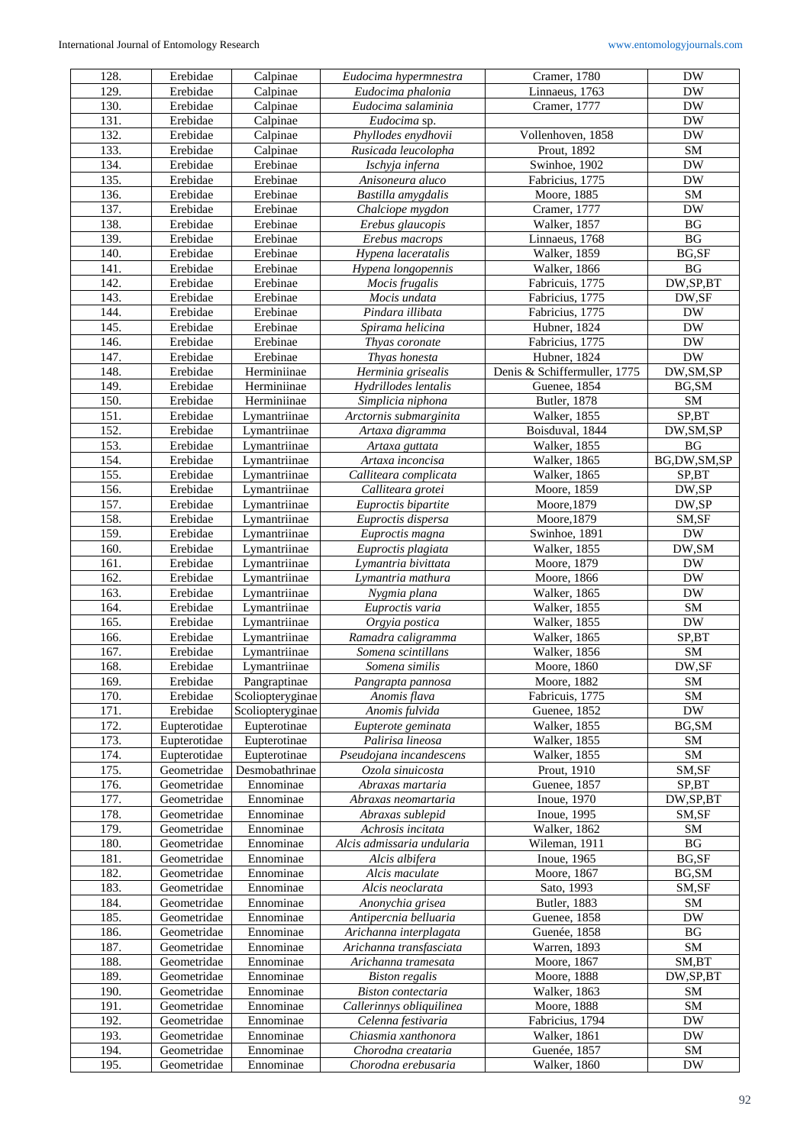| 128.              | Erebidae     | Calpinae         | Eudocima hypermnestra      | Cramer, 1780                 | <b>DW</b>              |
|-------------------|--------------|------------------|----------------------------|------------------------------|------------------------|
| 129.              | Erebidae     | Calpinae         | Eudocima phalonia          | Linnaeus, 1763               | <b>DW</b>              |
| 130.              | Erebidae     | Calpinae         | Eudocima salaminia         | Cramer, 1777                 | <b>DW</b>              |
| 131.              | Erebidae     | Calpinae         | Eudocima sp.               |                              | <b>DW</b>              |
| $\overline{1}32.$ | Erebidae     | Calpinae         | Phyllodes enydhovii        | Vollenhoven, 1858            | <b>DW</b>              |
|                   |              |                  |                            |                              |                        |
| 133.              | Erebidae     | Calpinae         | Rusicada leucolopha        | Prout, 1892                  | SM                     |
| 134.              | Erebidae     | Erebinae         | Ischyja inferna            | Swinhoe, 1902                | <b>DW</b>              |
| 135.              | Erebidae     | Erebinae         | Anisoneura aluco           | Fabricius, 1775              | <b>DW</b>              |
| 136.              | Erebidae     | Erebinae         | Bastilla amygdalis         | Moore, 1885                  | ${\rm SM}$             |
| 137.              | Erebidae     | Erebinae         | Chalciope mygdon           | Cramer, 1777                 | <b>DW</b>              |
| 138.              | Erebidae     | Erebinae         | Erebus glaucopis           | Walker, 1857                 | BG                     |
| 139.              | Erebidae     | Erebinae         | Erebus macrops             | Linnaeus, 1768               | BG                     |
| 140.              | Erebidae     | Erebinae         | Hypena laceratalis         | Walker, 1859                 | BG,SF                  |
|                   | Erebidae     | Erebinae         |                            |                              | <b>BG</b>              |
| 141.              |              |                  | Hypena longopennis         | <b>Walker</b> , 1866         |                        |
| 142.              | Erebidae     | Erebinae         | Mocis frugalis             | Fabricuis, 1775              | DW,SP,BT               |
| 143.              | Erebidae     | Erebinae         | Mocis undata               | Fabricius, 1775              | DW,SF                  |
| 144.              | Erebidae     | Erebinae         | Pindara illibata           | Fabricius, 1775              | <b>DW</b>              |
| 145.              | Erebidae     | Erebinae         | Spirama helicina           | Hubner, 1824                 | $\mathbf{D}\mathbf{W}$ |
| 146.              | Erebidae     | Erebinae         | Thyas coronate             | Fabricius, 1775              | <b>DW</b>              |
| 147.              | Erebidae     | Erebinae         | Thyas honesta              | Hubner, 1824                 | $\mathbf{D}\mathbf{W}$ |
| 148.              | Erebidae     | Herminiinae      | Herminia grisealis         | Denis & Schiffermuller, 1775 | DW, SM, SP             |
| 149.              | Erebidae     | Herminiinae      | Hydrillodes lentalis       | Guenee, 1854                 | BG, SM                 |
| 150.              |              | Herminiinae      |                            |                              | ${\rm SM}$             |
|                   | Erebidae     |                  | Simplicia niphona          | Butler, 1878                 |                        |
| 151.              | Erebidae     | Lymantriinae     | Arctornis submarginita     | <b>Walker</b> , 1855         | SP,BT                  |
| 152.              | Erebidae     | Lymantriinae     | Artaxa digramma            | Boisduval, 1844              | DW, SM, SP             |
| 153.              | Erebidae     | Lymantriinae     | Artaxa guttata             | Walker, 1855                 | $\mathbf{B}\mathbf{G}$ |
| 154.              | Erebidae     | Lymantriinae     | Artaxa inconcisa           | Walker, 1865                 | BG,DW,SM,SP            |
| 155.              | Erebidae     | Lymantriinae     | Calliteara complicata      | Walker, 1865                 | SP,BT                  |
| 156.              | Erebidae     | Lymantriinae     | Calliteara grotei          | Moore, 1859                  | DW,SP                  |
| 157.              | Erebidae     | Lymantriinae     | Euproctis bipartite        | Moore, 1879                  | DW,SP                  |
| 158.              | Erebidae     | Lymantriinae     | Euproctis dispersa         | Moore, 1879                  | SM,SF                  |
| 159.              | Erebidae     | Lymantriinae     | Euproctis magna            | Swinhoe, 1891                | $\mathbf{D}\mathbf{W}$ |
| 160.              | Erebidae     | Lymantriinae     | Euproctis plagiata         | Walker, 1855                 | DW, SM                 |
|                   |              |                  |                            |                              |                        |
| 161.              | Erebidae     | Lymantriinae     | Lymantria bivittata        | Moore, 1879                  | <b>DW</b>              |
| 162.              | Erebidae     | Lymantriinae     | Lymantria mathura          | Moore, 1866                  | <b>DW</b>              |
| 163.              | Erebidae     | Lymantriinae     | Nygmia plana               | Walker, 1865                 | <b>DW</b>              |
| 164.              | Erebidae     | Lymantriinae     | Euproctis varia            | Walker, 1855                 | SM                     |
| 165.              | Erebidae     | Lymantriinae     | Orgyia postica             | Walker, 1855                 | $\mathbf{D}\mathbf{W}$ |
| 166.              | Erebidae     | Lymantriinae     | Ramadra caligramma         | Walker, 1865                 | SP,BT                  |
| 167.              | Erebidae     | Lymantriinae     | Somena scintillans         | <b>Walker</b> , 1856         | ${\rm SM}$             |
| 168.              | Erebidae     | Lymantriinae     | Somena similis             | Moore, 1860                  | DW,SF                  |
| 169.              | Erebidae     | Pangraptinae     | Pangrapta pannosa          | Moore, 1882                  | $\overline{\text{SM}}$ |
| 170.              | Erebidae     | Scoliopteryginae | Anomis flava               | Fabricuis, 1775              | <b>SM</b>              |
|                   |              |                  |                            |                              |                        |
| 171.              | Erebidae     | Scoliopteryginae | Anomis fulvida             | Guenee, 1852                 | <b>DW</b>              |
| 172.              | Eupterotidae | Eupterotinae     | Eupterote geminata         | Walker, 1855                 | BG, SM                 |
| 173.              | Eupterotidae | Eupterotinae     | Palirisa lineosa           | Walker, 1855                 | SM                     |
| 174.              | Eupterotidae | Eupterotinae     | Pseudojana incandescens    | <b>Walker</b> , 1855         | ${\rm SM}$             |
| 175.              | Geometridae  | Desmobathrinae   | Ozola sinuicosta           | Prout, 1910                  | SM,SF                  |
| 176.              | Geometridae  | Ennominae        | Abraxas martaria           | Guenee, 1857                 | SP,BT                  |
| 177.              | Geometridae  | Ennominae        | Abraxas neomartaria        | Inoue, 1970                  | DW,SP,BT               |
| 178.              | Geometridae  | Ennominae        | Abraxas sublepid           | Inoue, 1995                  | SM,SF                  |
| 179.              | Geometridae  | Ennominae        | Achrosis incitata          | Walker, 1862                 | SM                     |
| 180.              | Geometridae  | Ennominae        | Alcis admissaria undularia | Wileman, 1911                | BG                     |
| 181.              | Geometridae  | Ennominae        | Alcis albifera             | Inoue, 1965                  | BG,SF                  |
|                   |              | Ennominae        |                            |                              |                        |
| 182.              | Geometridae  |                  | Alcis maculate             | Moore, 1867                  | BG,SM                  |
| 183.              | Geometridae  | Ennominae        | Alcis neoclarata           | Sato, 1993                   | SM,SF                  |
| 184.              | Geometridae  | Ennominae        | Anonychia grisea           | Butler, 1883                 | ${\rm SM}$             |
| 185.              | Geometridae  | Ennominae        | Antipercnia belluaria      | Guenee, 1858                 | <b>DW</b>              |
| 186.              | Geometridae  | Ennominae        | Arichanna interplagata     | Guenée, 1858                 | BG                     |
| 187.              | Geometridae  | Ennominae        | Arichanna transfasciata    | Warren, 1893                 | SM                     |
| 188.              | Geometridae  | Ennominae        | Arichanna tramesata        | Moore, 1867                  | SM,BT                  |
| 189.              | Geometridae  | Ennominae        | <b>Biston</b> regalis      | Moore, 1888                  | DW,SP,BT               |
| 190.              | Geometridae  | Ennominae        | Biston contectaria         | Walker, 1863                 | SM                     |
| 191.              | Geometridae  | Ennominae        | Callerinnys obliquilinea   | Moore, 1888                  | ${\rm SM}$             |
| 192.              |              |                  |                            |                              | <b>DW</b>              |
|                   | Geometridae  | Ennominae        | Celenna festivaria         | Fabricius, 1794              |                        |
| 193.              | Geometridae  | Ennominae        | Chiasmia xanthonora        | Walker, 1861                 | <b>DW</b>              |
| 194.              | Geometridae  | Ennominae        | Chorodna creataria         | Guenée, 1857                 | SM                     |
| 195.              | Geometridae  | Ennominae        | Chorodna erebusaria        | Walker, 1860                 | <b>DW</b>              |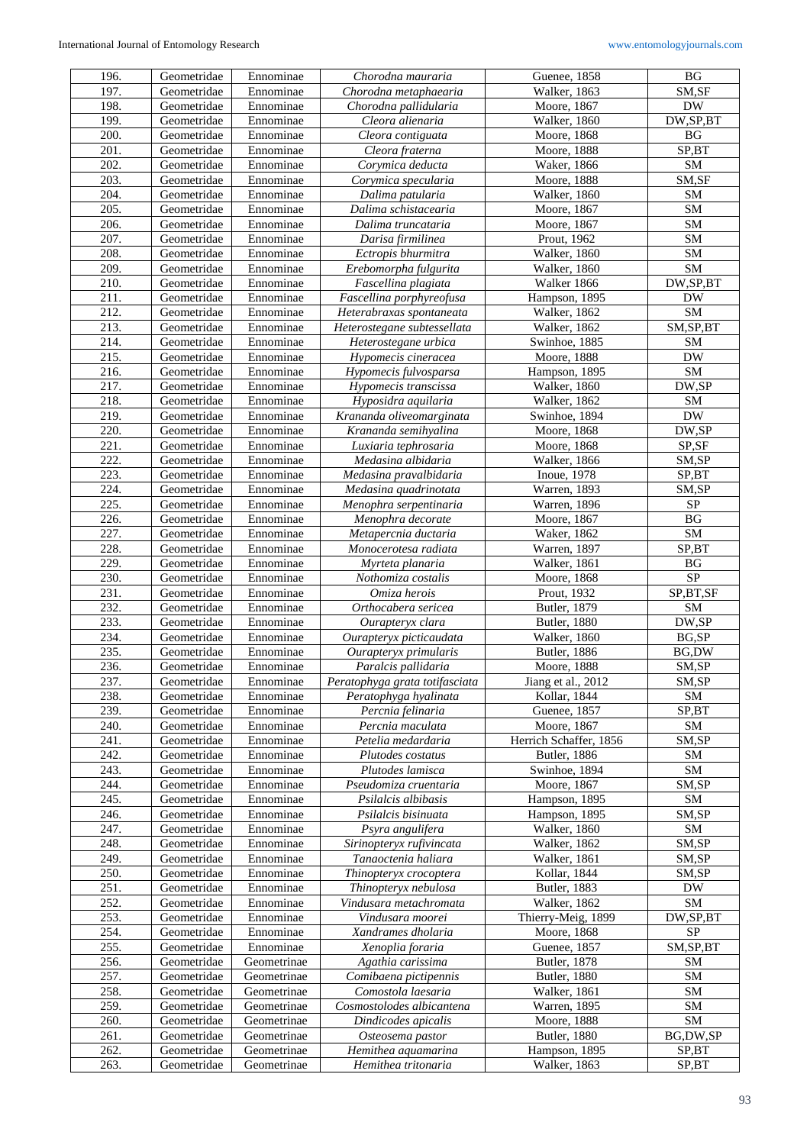| 196. | Geometridae | Ennominae              | Chorodna mauraria                   | Guenee, 1858           | $\mathbf{B}\mathbf{G}$ |
|------|-------------|------------------------|-------------------------------------|------------------------|------------------------|
| 197. | Geometridae | Ennominae              | $\overline{Ch}$ orodna metaphaearia | Walker, 1863           | SM,SF                  |
| 198. | Geometridae | Ennominae              | Chorodna pallidularia               | Moore, 1867            | <b>DW</b>              |
| 199. | Geometridae | Ennominae              | Cleora alienaria                    | Walker, 1860           | DW,SP,BT               |
| 200. | Geometridae | Ennominae              | Cleora contiguata                   | Moore, 1868            | $\mathbf{B}\mathbf{G}$ |
| 201. | Geometridae | Ennominae              | Cleora fraterna                     | Moore, 1888            | SP,BT                  |
| 202. | Geometridae | Ennominae              | Corymica deducta                    | Waker, 1866            | ${\rm SM}$             |
| 203. | Geometridae | Ennominae              | Corymica specularia                 | Moore, 1888            | SM,SF                  |
| 204. | Geometridae | Ennominae              | Dalima patularia                    | Walker, 1860           | ${\rm SM}$             |
| 205. | Geometridae | Ennominae              | Dalima schistacearia                | Moore, 1867            | ${\rm SM}$             |
| 206. | Geometridae | Ennominae              | Dalima truncataria                  | Moore, 1867            | SM                     |
| 207. | Geometridae | Ennominae              | Darisa firmilinea                   | Prout, 1962            | SM                     |
| 208. | Geometridae | Ennominae              | Ectropis bhurmitra                  | Walker, 1860           | ${\bf SM}$             |
| 209. | Geometridae | Ennominae              | Erebomorpha fulgurita               | Walker, 1860           | SM                     |
| 210. | Geometridae | Ennominae              | Fascellina plagiata                 | Walker 1866            | DW, SP, BT             |
| 211. | Geometridae | Ennominae              | Fascellina porphyreofusa            | Hampson, 1895          | <b>DW</b>              |
| 212. | Geometridae | Ennominae              |                                     | Walker, 1862           | ${\rm SM}$             |
| 213. |             | Ennominae              | Heterabraxas spontaneata            | Walker, 1862           | SM, SP, BT             |
|      | Geometridae |                        | Heterostegane subtessellata         |                        |                        |
| 214. | Geometridae | Ennominae<br>Ennominae | Heterostegane urbica                | Swinhoe, 1885          | SM                     |
| 215. | Geometridae |                        | Hypomecis cineracea                 | Moore, 1888            | <b>DW</b>              |
| 216. | Geometridae | Ennominae              | Hypomecis fulvosparsa               | Hampson, 1895          | ${\rm SM}$             |
| 217. | Geometridae | Ennominae              | Hypomecis transcissa                | Walker, 1860           | DW,SP                  |
| 218. | Geometridae | Ennominae              | Hyposidra aquilaria                 | Walker, 1862           | <b>SM</b>              |
| 219. | Geometridae | Ennominae              | Krananda oliveomarginata            | Swinhoe, 1894          | <b>DW</b>              |
| 220. | Geometridae | Ennominae              | Krananda semihyalina                | Moore, 1868            | DW,SP                  |
| 221. | Geometridae | Ennominae              | Luxiaria tephrosaria                | Moore, 1868            | SP,SF                  |
| 222. | Geometridae | Ennominae              | Medasina albidaria                  | Walker, 1866           | SM,SP                  |
| 223. | Geometridae | Ennominae              | Medasina pravalbidaria              | Inoue, 1978            | SP,BT                  |
| 224. | Geometridae | Ennominae              | Medasina quadrinotata               | Warren, 1893           | SM,SP                  |
| 225. | Geometridae | Ennominae              | Menophra serpentinaria              | Warren, 1896           | ${\rm SP}$             |
| 226. | Geometridae | Ennominae              | Menophra decorate                   | Moore, 1867            | $\mathbf{B}\mathbf{G}$ |
| 227. | Geometridae | Ennominae              | Metapercnia ductaria                | Waker, 1862            | ${\bf SM}$             |
| 228. | Geometridae | Ennominae              | Monocerotesa radiata                | Warren, 1897           | SP,BT                  |
| 229. | Geometridae | Ennominae              | Myrteta planaria                    | Walker, 1861           | $\mathbf{B}\mathbf{G}$ |
|      |             |                        |                                     |                        |                        |
| 230. | Geometridae | Ennominae              | Nothomiza costalis                  | Moore, 1868            | <b>SP</b>              |
| 231. | Geometridae | Ennominae              | Omiza herois                        | Prout, 1932            | SP,BT,SF               |
| 232. | Geometridae | Ennominae              | Orthocabera sericea                 | Butler, 1879           | ${\rm SM}$             |
| 233. | Geometridae | Ennominae              | Ourapteryx clara                    | <b>Butler</b> , 1880   | $\text{DW}, \text{SP}$ |
| 234. | Geometridae | Ennominae              | Ourapteryx picticaudata             | Walker, 1860           | BG,SP                  |
| 235. | Geometridae | Ennominae              | Ourapteryx primularis               | <b>Butler</b> , 1886   | BG,DW                  |
| 236. | Geometridae | Ennominae              | Paralcis pallidaria                 | Moore, 1888            | SM,SP                  |
| 237. | Geometridae | Ennominae              | Peratophyga grata totifasciata      | Jiang et al., 2012     | SM,SP                  |
| 238. | Geometridae | Ennominae              | Peratophyga hyalinata               | Kollar, 1844           | SM                     |
| 239. | Geometridae | Ennominae              | Percnia felinaria                   | Guenee, 1857           | SP,BT                  |
| 240. | Geometridae | Ennominae              | Percnia maculata                    | Moore, 1867            | SM                     |
| 241. | Geometridae | Ennominae              | Petelia medardaria                  | Herrich Schaffer, 1856 | SM,SP                  |
| 242. | Geometridae | Ennominae              | Plutodes costatus                   | <b>Butler</b> , 1886   | SM                     |
| 243. | Geometridae | Ennominae              | Plutodes lamisca                    | Swinhoe, 1894          | SM                     |
| 244. | Geometridae | Ennominae              | Pseudomiza cruentaria               | Moore, 1867            | SM,SP                  |
| 245. | Geometridae | Ennominae              | Psilalcis albibasis                 | Hampson, 1895          | SM                     |
| 246. | Geometridae | Ennominae              | Psilalcis bisinuata                 | Hampson, 1895          | SM,SP                  |
| 247. | Geometridae | Ennominae              | Psyra angulifera                    | Walker, 1860           | SM                     |
| 248. | Geometridae | Ennominae              | Sirinopteryx rufivincata            | Walker, 1862           | SM,SP                  |
| 249. | Geometridae | Ennominae              | Tanaoctenia haliara                 | Walker, 1861           | SM,SP                  |
| 250. | Geometridae | Ennominae              | Thinopteryx crocoptera              | Kollar, 1844           | SM,SP                  |
| 251. | Geometridae | Ennominae              | Thinopteryx nebulosa                | Butler, 1883           | DW                     |
| 252. | Geometridae | Ennominae              | Vindusara metachromata              | Walker, 1862           | SM                     |
| 253. | Geometridae | Ennominae              | Vindusara moorei                    | Thierry-Meig, 1899     | DW,SP,BT               |
| 254. | Geometridae | Ennominae              | Xandrames dholaria                  | Moore, 1868            | SP                     |
| 255. | Geometridae | Ennominae              | Xenoplia foraria                    | Guenee, 1857           | SM, SP, BT             |
| 256. | Geometridae | Geometrinae            | Agathia carissima                   | Butler, 1878           | <b>SM</b>              |
| 257. | Geometridae | Geometrinae            | Comibaena pictipennis               | <b>Butler</b> , 1880   | SM                     |
| 258. | Geometridae | Geometrinae            | Comostola laesaria                  | Walker, 1861           | <b>SM</b>              |
| 259. | Geometridae | Geometrinae            | Cosmostolodes albicantena           | Warren, 1895           | <b>SM</b>              |
| 260. | Geometridae | Geometrinae            | Dindicodes apicalis                 | Moore, 1888            | ${\rm SM}$             |
| 261. | Geometridae | Geometrinae            | Osteosema pastor                    | <b>Butler</b> , 1880   | BG,DW,SP               |
| 262. | Geometridae | Geometrinae            | Hemithea aquamarina                 | Hampson, 1895          | SP,BT                  |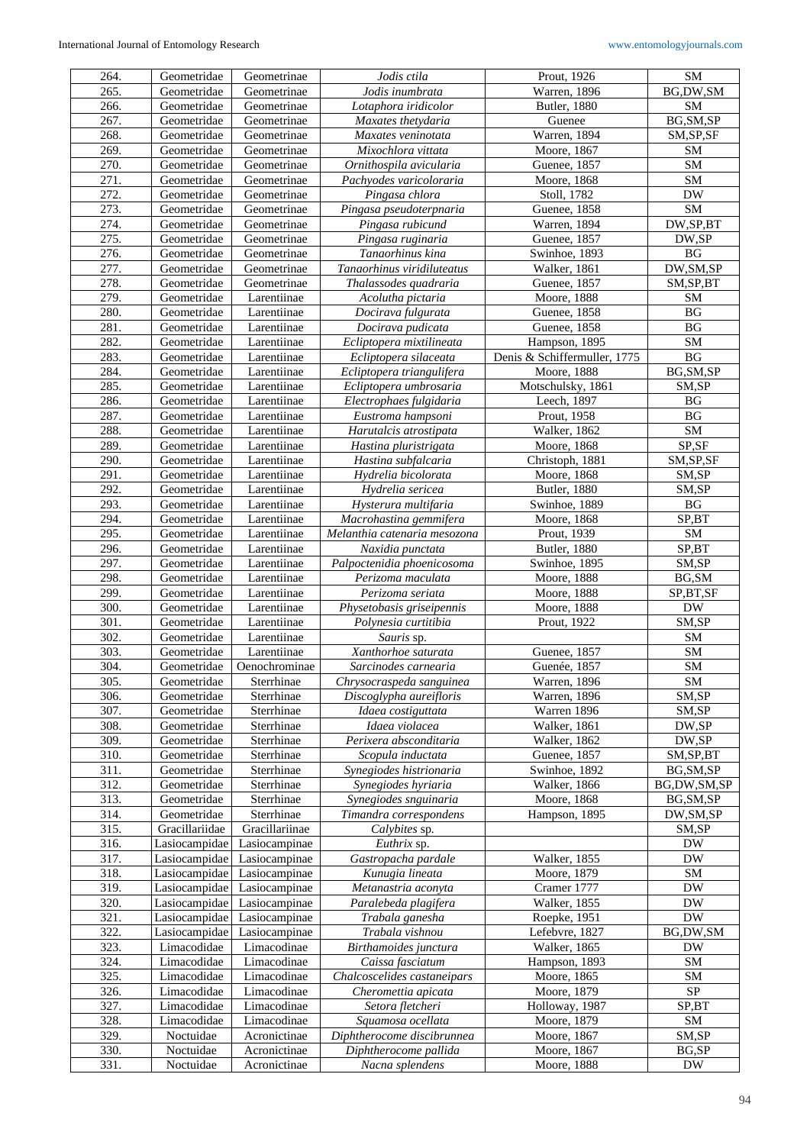| 264. | Geometridae    | Geometrinae    | Jodis ctila                  | Prout, 1926                  | SM                     |
|------|----------------|----------------|------------------------------|------------------------------|------------------------|
| 265. | Geometridae    | Geometrinae    | Jodis inumbrata              | Warren, 1896                 | BG,DW,SM               |
| 266. | Geometridae    | Geometrinae    | Lotaphora iridicolor         | <b>Butler</b> , 1880         | <b>SM</b>              |
| 267. | Geometridae    | Geometrinae    | Maxates thetydaria           | Guenee                       | BG, SM, SP             |
|      |                |                |                              |                              |                        |
| 268. | Geometridae    | Geometrinae    | Maxates veninotata           | Warren, 1894                 | SM, SP, SF             |
| 269. | Geometridae    | Geometrinae    | Mixochlora vittata           | Moore, 1867                  | SM                     |
| 270. | Geometridae    | Geometrinae    | Ornithospila avicularia      | Guenee, 1857                 | ${\rm SM}$             |
| 271. | Geometridae    | Geometrinae    | Pachyodes varicoloraria      | Moore, 1868                  | SM                     |
| 272. | Geometridae    | Geometrinae    | Pingasa chlora               | Stoll, 1782                  | <b>DW</b>              |
| 273. | Geometridae    | Geometrinae    | Pingasa pseudoterpnaria      | Guenee, 1858                 | ${\rm SM}$             |
|      |                |                |                              |                              |                        |
| 274. | Geometridae    | Geometrinae    | Pingasa rubicund             | Warren, 1894                 | DW,SP,BT               |
| 275. | Geometridae    | Geometrinae    | Pingasa ruginaria            | Guenee, 1857                 | DW,SP                  |
| 276. | Geometridae    | Geometrinae    | Tanaorhinus kina             | Swinhoe, 1893                | BG                     |
| 277. | Geometridae    | Geometrinae    | Tanaorhinus viridiluteatus   | Walker, 1861                 | DW, SM, SP             |
| 278. | Geometridae    | Geometrinae    | Thalassodes quadraria        | Guenee, 1857                 | SM, SP, BT             |
| 279. | Geometridae    | Larentiinae    | Acolutha pictaria            | Moore, 1888                  | <b>SM</b>              |
| 280. | Geometridae    | Larentiinae    | Docirava fulgurata           | Guenee, 1858                 | BG                     |
|      |                |                |                              |                              |                        |
| 281. | Geometridae    | Larentiinae    | Docirava pudicata            | Guenee, 1858                 | BG                     |
| 282. | Geometridae    | Larentiinae    | Ecliptopera mixtilineata     | Hampson, 1895                | SM                     |
| 283. | Geometridae    | Larentiinae    | Ecliptopera silaceata        | Denis & Schiffermuller, 1775 | $\mathbf{B}\mathbf{G}$ |
| 284. | Geometridae    | Larentiinae    | Ecliptopera triangulifera    | Moore, 1888                  | BG, SM, SP             |
| 285. | Geometridae    | Larentiinae    | Ecliptopera umbrosaria       | Motschulsky, 1861            | SM,SP                  |
| 286. | Geometridae    | Larentiinae    | Electrophaes fulgidaria      | Leech, 1897                  | $\mathbf{B}\mathbf{G}$ |
| 287. | Geometridae    | Larentiinae    | Eustroma hampsoni            |                              | BG                     |
|      |                |                |                              | Prout, 1958                  |                        |
| 288. | Geometridae    | Larentiinae    | Harutalcis atrostipata       | Walker, 1862                 | ${\rm SM}$             |
| 289. | Geometridae    | Larentiinae    | Hastina pluristrigata        | Moore, 1868                  | SP,SF                  |
| 290. | Geometridae    | Larentiinae    | Hastina subfalcaria          | Christoph, 1881              | SM, SP, SF             |
| 291. | Geometridae    | Larentiinae    | Hydrelia bicolorata          | Moore, 1868                  | SM,SP                  |
| 292. | Geometridae    | Larentiinae    | Hydrelia sericea             | <b>Butler</b> , 1880         | SM,SP                  |
| 293. | Geometridae    | Larentiinae    | Hysterura multifaria         | Swinhoe, 1889                | $\mathbf{B}\mathbf{G}$ |
|      |                |                |                              |                              |                        |
| 294. | Geometridae    | Larentiinae    | Macrohastina gemmifera       | Moore, 1868                  | SP,BT                  |
| 295. | Geometridae    | Larentiinae    | Melanthia catenaria mesozona | Prout, 1939                  | SM                     |
| 296. | Geometridae    | Larentiinae    | Naxidia punctata             | <b>Butler</b> , 1880         | SP,BT                  |
| 297. | Geometridae    | Larentiinae    | Palpoctenidia phoenicosoma   | Swinhoe, 1895                | SM,SP                  |
| 298. | Geometridae    | Larentiinae    | Perizoma maculata            | Moore, 1888                  | BG, SM                 |
| 299. | Geometridae    | Larentiinae    | Perizoma seriata             | Moore, 1888                  | SP,BT,SF               |
| 300. | Geometridae    | Larentiinae    | Physetobasis griseipennis    | Moore, 1888                  | <b>DW</b>              |
|      |                |                |                              |                              |                        |
| 301. | Geometridae    | Larentiinae    | Polynesia curtitibia         | Prout, 1922                  | SM,SP                  |
| 302. | Geometridae    | Larentiinae    | Sauris sp.                   |                              | ${\rm SM}$             |
| 303. | Geometridae    | Larentiinae    | Xanthorhoe saturata          | Guenee, 1857                 | ${\rm SM}$             |
| 304. | Geometridae    | Oenochrominae  | Sarcinodes carnearia         | Guenée, 1857                 | SM                     |
| 305. | Geometridae    | Sterrhinae     | Chrysocraspeda sanguinea     | Warren, 1896                 | SM                     |
| 306. | Geometridae    | Sterrhinae     | Discoglypha aureifloris      | Warren, 1896                 | SM,SP                  |
| 307. | Geometridae    | Sterrhinae     | Idaea costiguttata           | Warren 1896                  | SM,SP                  |
|      |                |                |                              |                              |                        |
| 308. | Geometridae    | Sterrhinae     | Idaea violacea               | Walker, 1861                 | DW,SP                  |
| 309. | Geometridae    | Sterrhinae     | Perixera absconditaria       | Walker, 1862                 | DW,SP                  |
| 310. | Geometridae    | Sterrhinae     | Scopula inductata            | Guenee, 1857                 | SM, SP, BT             |
| 311. | Geometridae    | Sterrhinae     | Synegiodes histrionaria      | Swinhoe, 1892                | BG, SM, SP             |
| 312. | Geometridae    | Sterrhinae     | Synegiodes hyriaria          | <b>Walker</b> , 1866         | BG,DW,SM,SP            |
| 313. | Geometridae    | Sterrhinae     | Synegiodes snguinaria        | Moore, 1868                  | BG, SM, SP             |
| 314. | Geometridae    | Sterrhinae     | Timandra correspondens       |                              |                        |
|      |                |                |                              | Hampson, 1895                | DW, SM, SP             |
| 315. | Gracillariidae | Gracillariinae | Calybites sp.                |                              | SM,SP                  |
| 316. | Lasiocampidae  | Lasiocampinae  | Euthrix sp.                  |                              | <b>DW</b>              |
| 317. | Lasiocampidae  | Lasiocampinae  | Gastropacha pardale          | Walker, 1855                 | <b>DW</b>              |
| 318. | Lasiocampidae  | Lasiocampinae  | Kunugia lineata              | Moore, 1879                  | ${\rm SM}$             |
| 319. | Lasiocampidae  | Lasiocampinae  | Metanastria aconyta          | Cramer 1777                  | DW                     |
| 320. | Lasiocampidae  | Lasiocampinae  | Paralebeda plagifera         | Walker, 1855                 | <b>DW</b>              |
|      |                |                |                              |                              |                        |
| 321. | Lasiocampidae  | Lasiocampinae  | Trabala ganesha              | Roepke, 1951                 | <b>DW</b>              |
| 322. | Lasiocampidae  | Lasiocampinae  | Trabala vishnou              | Lefebvre, 1827               | BG,DW,SM               |
| 323. | Limacodidae    | Limacodinae    | Birthamoides junctura        | Walker, 1865                 | <b>DW</b>              |
| 324. |                |                |                              |                              | SM                     |
|      | Limacodidae    | Limacodinae    | Caissa fasciatum             | Hampson, 1893                |                        |
|      |                |                |                              |                              |                        |
| 325. | Limacodidae    | Limacodinae    | Chalcoscelides castaneipars  | Moore, 1865                  | SM                     |
| 326. | Limacodidae    | Limacodinae    | Cheromettia apicata          | Moore, 1879                  | SP                     |
| 327. | Limacodidae    | Limacodinae    | Setora fletcheri             | Holloway, 1987               | SP,BT                  |
| 328. | Limacodidae    | Limacodinae    | Squamosa ocellata            | Moore, 1879                  | SM                     |
| 329. | Noctuidae      | Acronictinae   | Diphtherocome discibrunnea   | Moore, 1867                  | SM,SP                  |
| 330. | Noctuidae      | Acronictinae   | Diphtherocome pallida        | Moore, 1867                  | BG,SP                  |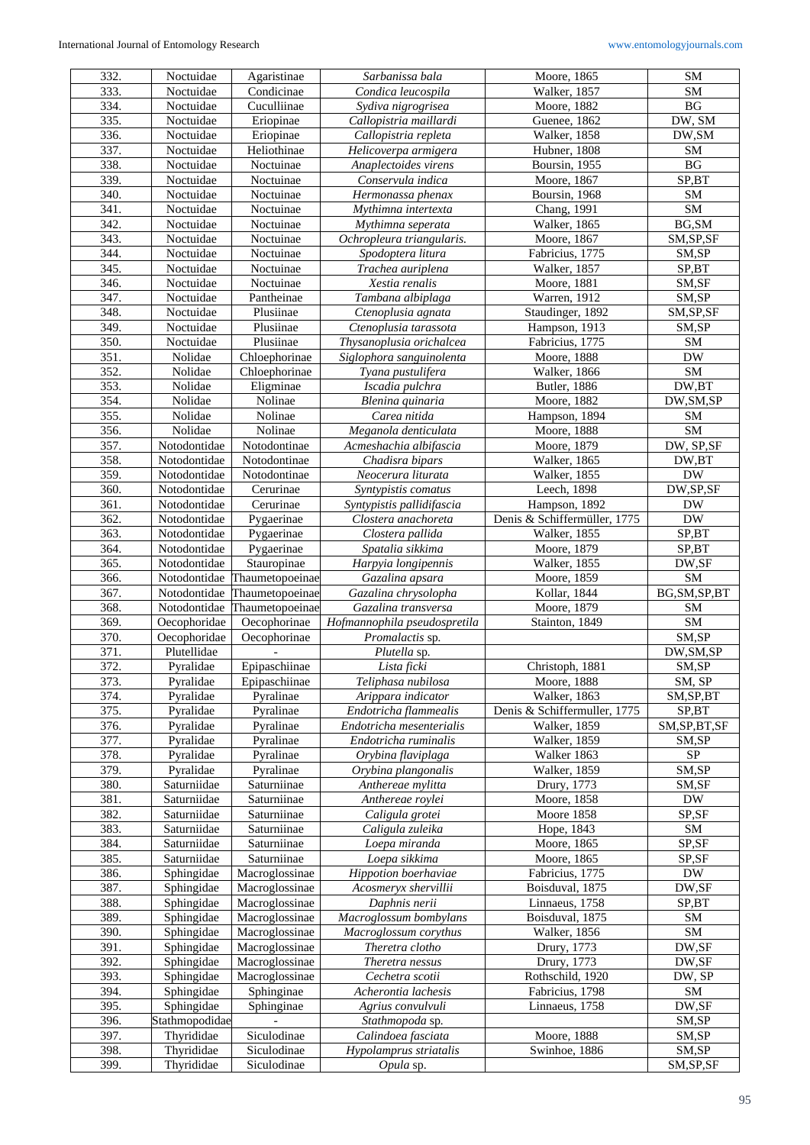| 332.         | Noctuidae                | Agaristinae                      | Sarbanissa bala                     | Moore, 1865                  | <b>SM</b>               |
|--------------|--------------------------|----------------------------------|-------------------------------------|------------------------------|-------------------------|
| 333.         | Noctuidae                | Condicinae                       | Condica leucospila                  | Walker, 1857                 | SM                      |
| 334.         | Noctuidae                | $\overline{\text{C}}$ uculliinae | Sydiva nigrogrisea                  | Moore, 1882                  | <b>BG</b>               |
| 335.         | Noctuidae                | Eriopinae                        | Callopistria maillardi              | Guenee, 1862                 | DW, SM                  |
| 336.         | Noctuidae                | Eriopinae                        | Callopistria repleta                | Walker, 1858                 | DW, SM                  |
| 337.         | Noctuidae                | Heliothinae                      | Helicoverpa armigera                | Hubner, 1808                 | ${\rm SM}$              |
| 338.         | Noctuidae                | Noctuinae                        | Anaplectoides virens                | Boursin, 1955                | BG                      |
| 339.         | Noctuidae                | Noctuinae                        | Conservula indica                   | Moore, 1867                  | SP,BT                   |
| 340.         | Noctuidae                | Noctuinae                        | Hermonassa phenax                   | Boursin, 1968                | SM                      |
|              |                          | Noctuinae                        |                                     |                              | ${\bf SM}$              |
| 341.         | Noctuidae                |                                  | Mythimna intertexta                 | Chang, 1991                  |                         |
| 342.         | Noctuidae                | Noctuinae                        | Mythimna seperata                   | Walker, 1865                 | BG, SM                  |
| 343.         | Noctuidae                | Noctuinae                        | Ochropleura triangularis.           | Moore, 1867                  | SM, SP, SF              |
| 344.         | Noctuidae                | Noctuinae                        | Spodoptera litura                   | Fabricius, 1775              | SM,SP                   |
| 345.         | Noctuidae                | Noctuinae                        | Trachea auriplena                   | Walker, 1857                 | SP,BT                   |
| 346.         | Noctuidae                | Noctuinae                        | Xestia renalis                      | Moore, 1881                  | SM,SF                   |
| 347.         | Noctuidae                | Pantheinae                       | Tambana albiplaga                   | Warren, 1912                 | SM,SP                   |
| 348.         | Noctuidae                | Plusiinae                        | Ctenoplusia agnata                  | Staudinger, 1892             | SM, SP, SF              |
| 349.         | Noctuidae                | Plusiinae                        | Ctenoplusia tarassota               | Hampson, 1913                | SM,SP                   |
| 350.         | Noctuidae                | Plusiinae                        | Thysanoplusia orichalcea            | Fabricius, 1775              | ${\rm SM}$              |
| 351.         | Nolidae                  | Chloephorinae                    | Siglophora sanguinolenta            | Moore, 1888                  | $\mathbf{D}\mathbf{W}$  |
| 352.         | Nolidae                  | Chloephorinae                    | Tyana pustulifera                   | Walker, 1866                 | ${\bf SM}$              |
| 353.         | Nolidae                  | Eligminae                        | Iscadia pulchra                     | Butler, 1886                 | DW,BT                   |
| 354.         | Nolidae                  | Nolinae                          | Blenina quinaria                    | Moore, 1882                  | DW, SM, SP              |
| 355.         | Nolidae                  | Nolinae                          | Carea nitida                        | Hampson, 1894                | ${\rm SM}$              |
| 356.         | Nolidae                  | Nolinae                          | Meganola denticulata                | Moore, 1888                  | SM                      |
| 357.         | Notodontidae             | Notodontinae                     |                                     | Moore, 1879                  | DW, SP,SF               |
| 358.         |                          |                                  | Acmeshachia albifascia              |                              |                         |
|              | Notodontidae             | Notodontinae                     | Chadisra bipars                     | Walker, 1865                 | DW,BT                   |
| 359.         | Notodontidae             | Notodontinae                     | Neocerura liturata                  | Walker, 1855                 | ${\rm DW}$              |
| 360.         | Notodontidae             | Cerurinae                        | Syntypistis comatus                 | Leech, 1898                  | DW,SP,SF                |
| 361.         | Notodontidae             | Cerurinae                        | Syntypistis pallidifascia           | Hampson, 1892                | <b>DW</b>               |
| 362.         | Notodontidae             | Pygaerinae                       | Clostera anachoreta                 | Denis & Schiffermüller, 1775 | <b>DW</b>               |
| 363.         | Notodontidae             | Pygaerinae                       | Clostera pallida                    | Walker, 1855                 | SP,BT                   |
| 364.         | Notodontidae             | Pygaerinae                       | Spatalia sikkima                    | Moore, 1879                  | SP,BT                   |
| 365.         | Notodontidae             | Stauropinae                      | Harpyia longipennis                 | Walker, 1855                 | DW,SF                   |
|              |                          |                                  |                                     |                              |                         |
| 366.         | Notodontidae             | Thaumetopoeinae                  | Gazalina apsara                     | Moore, 1859                  | SM                      |
| 367.         | Notodontidae             | Thaumetopoeinae                  | Gazalina chrysolopha                | Kollar, 1844                 | BG, SM, SP, BT          |
| 368.         | Notodontidae             | Thaumetopoeinae                  | Gazalina transversa                 | Moore, 1879                  | SM                      |
| 369.         | Oecophoridae             | Oecophorinae                     | Hofmannophila pseudospretila        | Stainton, 1849               | SM                      |
| 370.         | Oecophoridae             | Oecophorinae                     |                                     |                              | SM,SP                   |
| 371.         | Plutellidae              |                                  | Promalactis sp.                     |                              |                         |
|              |                          |                                  | Plutella sp.                        |                              | DW, SM, SP              |
| 372.         | Pyralidae                | Epipaschiinae                    | Lista ficki                         | Christoph, 1881              | SM,SP                   |
| 373.         | Pyralidae                | Epipaschinae                     | Teliphasa nubilosa                  | Moore, 1888                  | SM, SP                  |
| 374.         | Pyralidae                | Pyralinae                        | Arippara indicator                  | Walker, 1863                 | $\overline{SM, SP, BT}$ |
| 375.         | Pyralidae                | Pyralinae                        | Endotricha flammealis               | Denis & Schiffermuller, 1775 | SP,BT                   |
| 376.         | Pyralidae                | Pyralinae                        | Endotricha mesenterialis            | <b>Walker</b> , 1859         | SM, SP, BT, SF          |
| 377.         | Pyralidae                | Pyralinae                        | Endotricha ruminalis                | <b>Walker</b> , 1859         | SM,SP                   |
| 378.         | Pyralidae                | Pyralinae                        | Orybina flaviplaga                  | Walker 1863                  | ${\rm SP}$              |
| 379.         | Pyralidae                | Pyralinae                        | Orybina plangonalis                 | Walker, 1859                 | SM,SP                   |
| 380.         | Saturniidae              | Saturniinae                      | Anthereae mylitta                   | Drury, 1773                  | SM,SF                   |
| 381.         | Saturniidae              | Saturniinae                      | Anthereae roylei                    | Moore, 1858                  | <b>DW</b>               |
| 382.         | Saturniidae              | Saturniinae                      | Caligula grotei                     | Moore 1858                   | SP,SF                   |
| 383.         | Saturniidae              | Saturniinae                      | Caligula zuleika                    | Hope, 1843                   | SM                      |
| 384.         | Saturniidae              | Saturniinae                      | Loepa miranda                       | Moore, 1865                  | SP,SF                   |
| 385.         | Saturniidae              | Saturniinae                      | Loepa sikkima                       | Moore, 1865                  | SP,SF                   |
| 386.         | Sphingidae               | Macroglossinae                   | Hippotion boerhaviae                | Fabricius, 1775              | <b>DW</b>               |
| 387.         | Sphingidae               | Macroglossinae                   | Acosmeryx shervillii                | Boisduval, 1875              | DW,SF                   |
| 388.         | Sphingidae               | Macroglossinae                   | Daphnis nerii                       | Linnaeus, 1758               | SP,BT                   |
| 389.         | Sphingidae               | Macroglossinae                   | Macroglossum bombylans              | Boisduval, 1875              | SM                      |
| 390.         | Sphingidae               | Macroglossinae                   | Macroglossum corythus               | <b>Walker</b> , 1856         | SM                      |
| 391.         | Sphingidae               | Macroglossinae                   | Theretra clotho                     | Drury, 1773                  | DW,SF                   |
| 392.         | Sphingidae               | Macroglossinae                   | Theretra nessus                     | Drury, 1773                  | DW,SF                   |
| 393.         | Sphingidae               | Macroglossinae                   | Cechetra scotii                     | Rothschild, 1920             |                         |
|              |                          |                                  |                                     |                              | DW, SP                  |
| 394.         | Sphingidae               | Sphinginae                       | Acherontia lachesis                 | Fabricius, 1798              | SM                      |
| 395.         | Sphingidae               | Sphinginae                       | Agrius convulvuli                   | Linnaeus, 1758               | DW,SF                   |
| 396.         | Stathmopodidae           |                                  | Stathmopoda sp.                     |                              | SM,SP                   |
| 397.         | Thyrididae               | Siculodinae                      | Calindoea fasciata                  | Moore, 1888                  | SM,SP                   |
| 398.<br>399. | Thyrididae<br>Thyrididae | Siculodinae<br>Siculodinae       | Hypolamprus striatalis<br>Opula sp. | Swinhoe, 1886                | SM,SP<br>SM, SP, SF     |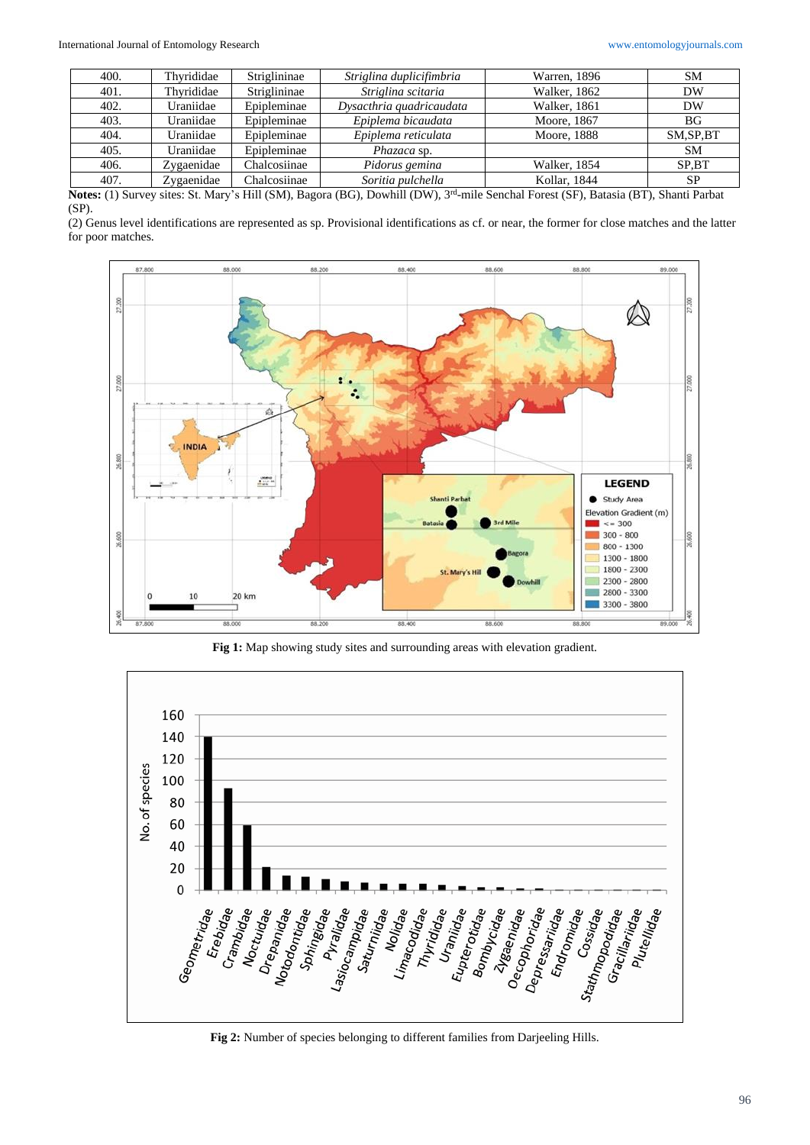| 400. | Thyrididae | Striglininae | Striglina duplicifimbria | Warren, 1896 | <b>SM</b>  |
|------|------------|--------------|--------------------------|--------------|------------|
| 401. | Thvrididae | Striglininae | Striglina scitaria       | Walker, 1862 | DW         |
| 402. | Uraniidae  | Epipleminae  | Dysacthria quadricaudata | Walker, 1861 | DW         |
| 403. | Uraniidae  | Epipleminae  | Epiplema bicaudata       | Moore, 1867  | <b>BG</b>  |
| 404. | Uraniidae  | Epipleminae  | Epiplema reticulata      | Moore, 1888  | SM, SP, BT |
| 405. | Uraniidae  | Epipleminae  | <i>Phazaca</i> sp.       |              | <b>SM</b>  |
| 406. | Zygaenidae | Chalcosiinae | Pidorus gemina           | Walker, 1854 | SP.BT      |
| 407. | Zygaenidae | Chalcosiinae | Soritia pulchella        | Kollar, 1844 | <b>SP</b>  |

**Notes:** (1) Survey sites: St. Mary's Hill (SM), Bagora (BG), Dowhill (DW), 3rd -mile Senchal Forest (SF), Batasia (BT), Shanti Parbat (SP).

(2) Genus level identifications are represented as sp. Provisional identifications as cf. or near, the former for close matches and the latter for poor matches.



**Fig 1:** Map showing study sites and surrounding areas with elevation gradient.

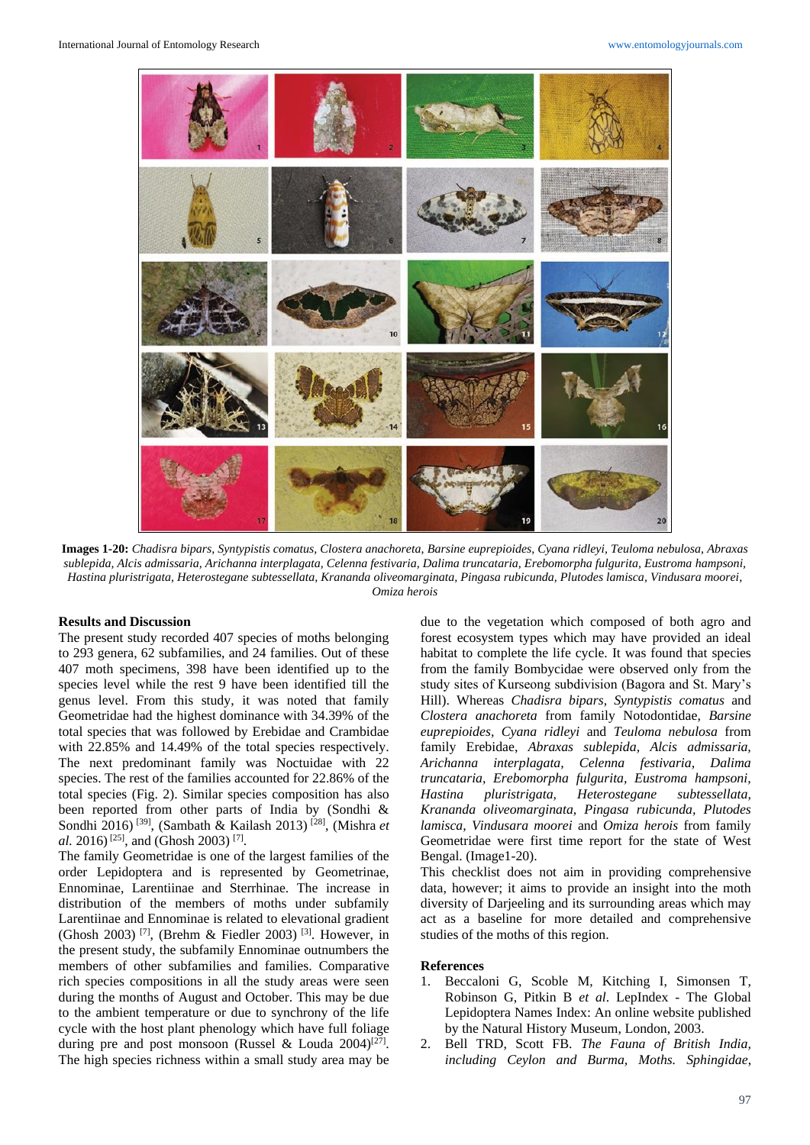

**Images 1-20:** *Chadisra bipars, Syntypistis comatus, Clostera anachoreta*, *Barsine euprepioides, Cyana ridleyi, Teuloma nebulosa*, *Abraxas sublepida, Alcis admissaria, Arichanna interplagata, Celenna festivaria, Dalima truncataria, Erebomorpha fulgurita, Eustroma hampsoni, Hastina pluristrigata, Heterostegane subtessellata, Krananda oliveomarginata, Pingasa rubicunda, Plutodes lamisca, Vindusara moorei*, *Omiza herois*

#### **Results and Discussion**

The present study recorded 407 species of moths belonging to 293 genera, 62 subfamilies, and 24 families. Out of these 407 moth specimens, 398 have been identified up to the species level while the rest 9 have been identified till the genus level. From this study, it was noted that family Geometridae had the highest dominance with 34.39% of the total species that was followed by Erebidae and Crambidae with 22.85% and 14.49% of the total species respectively. The next predominant family was Noctuidae with 22 species. The rest of the families accounted for 22.86% of the total species (Fig. 2). Similar species composition has also been reported from other parts of India by (Sondhi & Sondhi 2016) [39], (Sambath & Kailash 2013) [28], (Mishra *et al.* 2016)<sup>[25]</sup>, and (Ghosh 2003)<sup>[7]</sup>.

The family Geometridae is one of the largest families of the order Lepidoptera and is represented by Geometrinae, Ennominae, Larentiinae and Sterrhinae. The increase in distribution of the members of moths under subfamily Larentiinae and Ennominae is related to elevational gradient (Ghosh 2003)<sup>[7]</sup>, (Brehm & Fiedler 2003)<sup>[3]</sup>. However, in the present study, the subfamily Ennominae outnumbers the members of other subfamilies and families. Comparative rich species compositions in all the study areas were seen during the months of August and October. This may be due to the ambient temperature or due to synchrony of the life cycle with the host plant phenology which have full foliage during pre and post monsoon (Russel & Louda 2004)<sup>[27]</sup>. The high species richness within a small study area may be

due to the vegetation which composed of both agro and forest ecosystem types which may have provided an ideal habitat to complete the life cycle. It was found that species from the family Bombycidae were observed only from the study sites of Kurseong subdivision (Bagora and St. Mary's Hill). Whereas *Chadisra bipars, Syntypistis comatus* and *Clostera anachoreta* from family Notodontidae, *Barsine euprepioides, Cyana ridleyi* and *Teuloma nebulosa* from family Erebidae, *Abraxas sublepida, Alcis admissaria, Arichanna interplagata, Celenna festivaria, Dalima truncataria, Erebomorpha fulgurita, Eustroma hampsoni, Hastina pluristrigata, Heterostegane subtessellata, Krananda oliveomarginata, Pingasa rubicunda, Plutodes lamisca, Vindusara moorei* and *Omiza herois* from family Geometridae were first time report for the state of West Bengal. (Image1-20).

This checklist does not aim in providing comprehensive data, however; it aims to provide an insight into the moth diversity of Darjeeling and its surrounding areas which may act as a baseline for more detailed and comprehensive studies of the moths of this region.

#### **References**

- 1. Beccaloni G, Scoble M, Kitching I, Simonsen T, Robinson G, Pitkin B *et al*. LepIndex - The Global Lepidoptera Names Index: An online website published by the Natural History Museum, London, 2003.
- 2. Bell TRD, Scott FB. *The Fauna of British India, including Ceylon and Burma, Moths. Sphingidae*,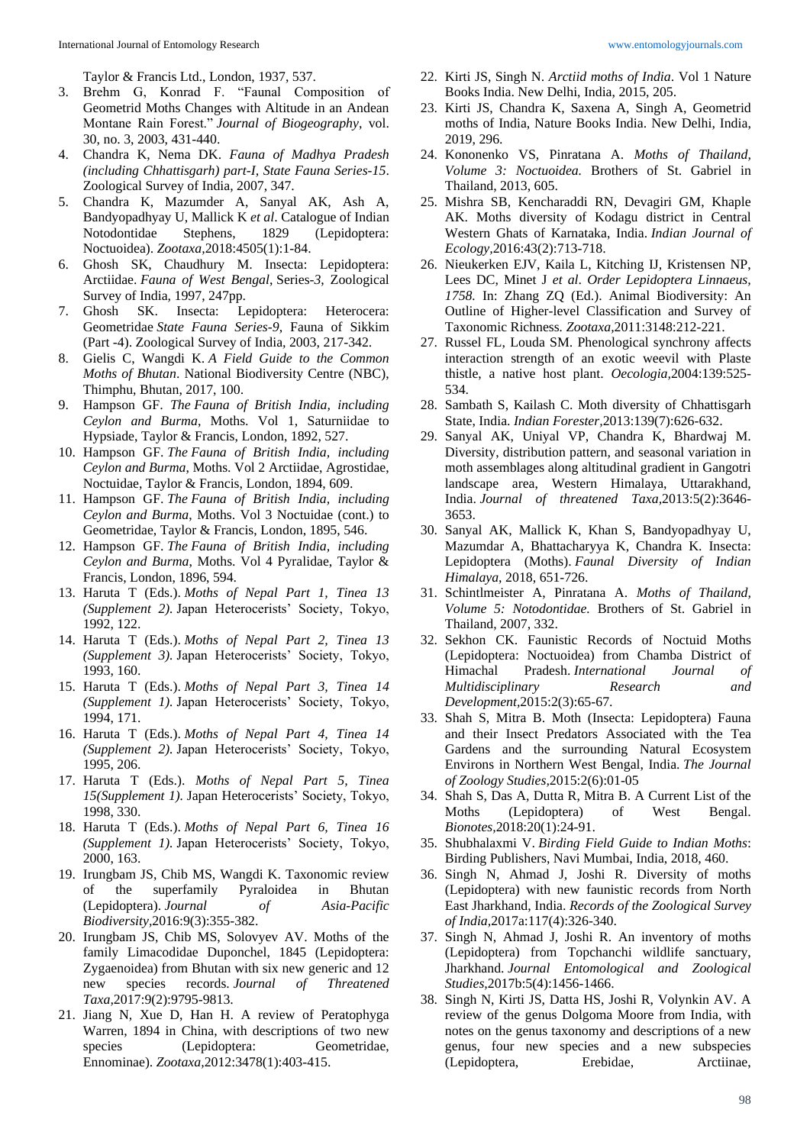Taylor & Francis Ltd., London, 1937, 537.

- 3. Brehm G, Konrad F. "Faunal Composition of Geometrid Moths Changes with Altitude in an Andean Montane Rain Forest." *Journal of Biogeography*, vol. 30, no. 3, 2003, 431-440.
- 4. Chandra K, Nema DK. *Fauna of Madhya Pradesh (including Chhattisgarh) part-I, State Fauna Series-15*. Zoological Survey of India, 2007, 347.
- 5. Chandra K, Mazumder A, Sanyal AK, Ash A, Bandyopadhyay U, Mallick K *et al*. Catalogue of Indian Notodontidae Stephens, 1829 (Lepidoptera: Noctuoidea). *Zootaxa,*2018:4505(1):1-84.
- 6. Ghosh SK, Chaudhury M. Insecta: Lepidoptera: Arctiidae. *Fauna of West Bengal*, Series-*3*, Zoological Survey of India*,* 1997, 247pp.
- 7. Ghosh SK. Insecta: Lepidoptera: Heterocera: Geometridae *State Fauna Series*-*9*, Fauna of Sikkim (Part -4). Zoological Survey of India*,* 2003, 217-342.
- 8. Gielis C, Wangdi K. *A Field Guide to the Common Moths of Bhutan*. National Biodiversity Centre (NBC), Thimphu, Bhutan, 2017, 100.
- 9. Hampson GF. *The Fauna of British India, including Ceylon and Burma*, Moths. Vol 1, Saturniidae to Hypsiade, Taylor & Francis, London, 1892, 527.
- 10. Hampson GF. *The Fauna of British India, including Ceylon and Burma*, Moths. Vol 2 Arctiidae, Agrostidae, Noctuidae, Taylor & Francis, London, 1894, 609.
- 11. Hampson GF. *The Fauna of British India, including Ceylon and Burma*, Moths. Vol 3 Noctuidae (cont.) to Geometridae, Taylor & Francis, London, 1895, 546.
- 12. Hampson GF. *The Fauna of British India, including Ceylon and Burma*, Moths. Vol 4 Pyralidae, Taylor & Francis, London, 1896, 594.
- 13. Haruta T (Eds.). *Moths of Nepal Part 1, Tinea 13 (Supplement 2).* Japan Heterocerists' Society, Tokyo, 1992, 122.
- 14. Haruta T (Eds.). *Moths of Nepal Part 2, Tinea 13 (Supplement 3).* Japan Heterocerists' Society, Tokyo, 1993, 160.
- 15. Haruta T (Eds.). *Moths of Nepal Part 3, Tinea 14 (Supplement 1).* Japan Heterocerists' Society, Tokyo, 1994, 171.
- 16. Haruta T (Eds.). *Moths of Nepal Part 4, Tinea 14 (Supplement 2).* Japan Heterocerists' Society, Tokyo, 1995, 206.
- 17. Haruta T (Eds.). *Moths of Nepal Part 5, Tinea 15(Supplement 1).* Japan Heterocerists' Society, Tokyo, 1998, 330.
- 18. Haruta T (Eds.). *Moths of Nepal Part 6, Tinea 16 (Supplement 1).* Japan Heterocerists' Society, Tokyo, 2000, 163.
- 19. Irungbam JS, Chib MS, Wangdi K. Taxonomic review of the superfamily Pyraloidea in Bhutan (Lepidoptera). *Journal of Asia-Pacific Biodiversity,*2016:9(3):355-382.
- 20. Irungbam JS, Chib MS, Solovyev AV. Moths of the family Limacodidae Duponchel, 1845 (Lepidoptera: Zygaenoidea) from Bhutan with six new generic and 12 new species records. *Journal of Threatened Taxa,*2017:9(2):9795-9813.
- 21. Jiang N, Xue D, Han H. A review of Peratophyga Warren, 1894 in China, with descriptions of two new species (Lepidoptera: Geometridae, Ennominae). *Zootaxa,*2012:3478(1):403-415.
- 22. Kirti JS, Singh N. *Arctiid moths of India*. Vol 1 Nature Books India. New Delhi, India, 2015, 205.
- 23. Kirti JS, Chandra K, Saxena A, Singh A, Geometrid moths of India, Nature Books India. New Delhi, India, 2019, 296.
- 24. Kononenko VS, Pinratana A. *Moths of Thailand, Volume 3: Noctuoidea.* Brothers of St. Gabriel in Thailand, 2013, 605.
- 25. Mishra SB, Kencharaddi RN, Devagiri GM, Khaple AK. Moths diversity of Kodagu district in Central Western Ghats of Karnataka, India. *Indian Journal of Ecology,*2016:43(2):713-718.
- 26. Nieukerken EJV, Kaila L, Kitching IJ, Kristensen NP, Lees DC, Minet J *et al*. *Order Lepidoptera Linnaeus, 1758.* In: Zhang ZQ (Ed.). Animal Biodiversity: An Outline of Higher-level Classification and Survey of Taxonomic Richness*. Zootaxa,*2011:3148:212-221.
- 27. Russel FL, Louda SM. Phenological synchrony affects interaction strength of an exotic weevil with Plaste thistle, a native host plant. *Oecologia,*2004:139:525- 534.
- 28. Sambath S, Kailash C. Moth diversity of Chhattisgarh State, India. *Indian Forester,*2013:139(7):626-632.
- 29. Sanyal AK, Uniyal VP, Chandra K, Bhardwaj M. Diversity, distribution pattern, and seasonal variation in moth assemblages along altitudinal gradient in Gangotri landscape area, Western Himalaya, Uttarakhand, India. *Journal of threatened Taxa,*2013:5(2):3646- 3653.
- 30. Sanyal AK, Mallick K, Khan S, Bandyopadhyay U, Mazumdar A, Bhattacharyya K, Chandra K. Insecta: Lepidoptera (Moths). *Faunal Diversity of Indian Himalaya,* 2018, 651-726.
- 31. Schintlmeister A, Pinratana A. *Moths of Thailand, Volume 5: Notodontidae.* Brothers of St. Gabriel in Thailand, 2007, 332.
- 32. Sekhon CK. Faunistic Records of Noctuid Moths (Lepidoptera: Noctuoidea) from Chamba District of Himachal Pradesh. *International Journal of Multidisciplinary Research and Development,*2015:2(3):65-67.
- 33. Shah S, Mitra B. Moth (Insecta: Lepidoptera) Fauna and their Insect Predators Associated with the Tea Gardens and the surrounding Natural Ecosystem Environs in Northern West Bengal, India. *The Journal of Zoology Studies,*2015:2(6):01-05
- 34. Shah S, Das A, Dutta R, Mitra B. A Current List of the Moths (Lepidoptera) of West Bengal. *Bionotes,*2018:20(1):24-91.
- 35. Shubhalaxmi V. *Birding Field Guide to Indian Moths*: Birding Publishers, Navi Mumbai, India, 2018, 460.
- 36. Singh N, Ahmad J, Joshi R. Diversity of moths (Lepidoptera) with new faunistic records from North East Jharkhand, India. *Records of the Zoological Survey of India,*2017a:117(4):326-340.
- 37. Singh N, Ahmad J, Joshi R. An inventory of moths (Lepidoptera) from Topchanchi wildlife sanctuary, Jharkhand. *Journal Entomological and Zoological Studies,*2017b:5(4):1456-1466.
- 38. Singh N, Kirti JS, Datta HS, Joshi R, Volynkin AV. A review of the genus Dolgoma Moore from India, with notes on the genus taxonomy and descriptions of a new genus, four new species and a new subspecies (Lepidoptera, Erebidae, Arctiinae,